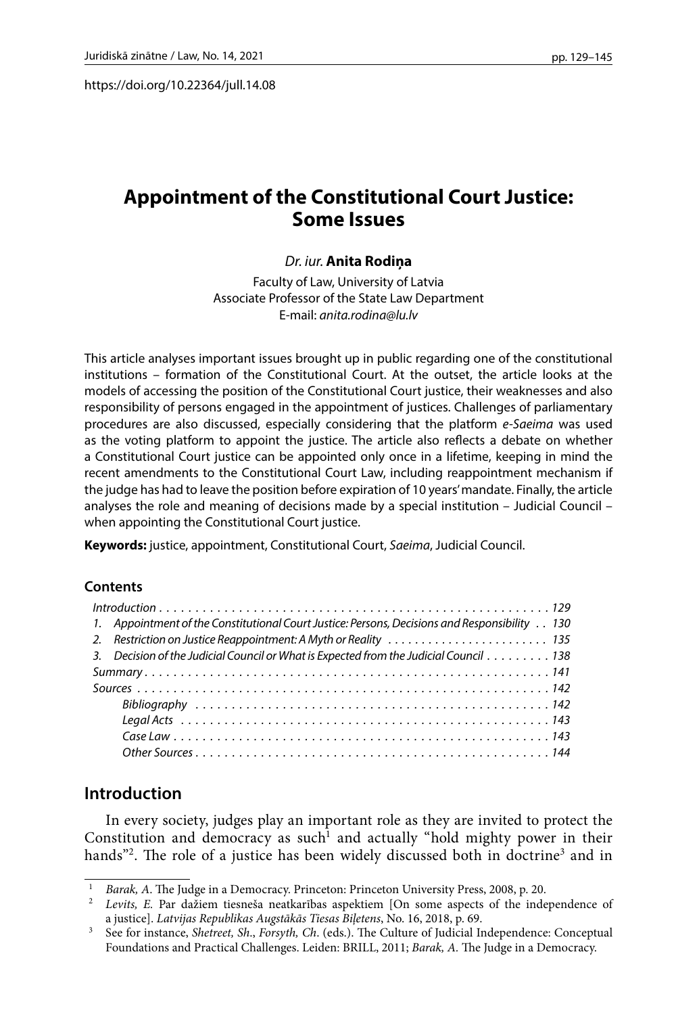https://doi.org/10.22364/jull.14.08

# **Appointment of the Constitutional Court Justice: Some Issues**

### *Dr. iur.* **Anita Rodiņa**

Faculty of Law, University of Latvia Associate Professor of the State Law Department E-mail: *[anita.rodina@lu.lv](mailto:anita.rodina@lu.lv)*

This article analyses important issues brought up in public regarding one of the constitutional institutions – formation of the Constitutional Court. At the outset, the article looks at the models of accessing the position of the Constitutional Court justice, their weaknesses and also responsibility of persons engaged in the appointment of justices. Challenges of parliamentary procedures are also discussed, especially considering that the platform *e-Saeima* was used as the voting platform to appoint the justice. The article also reflects a debate on whether a Constitutional Court justice can be appointed only once in a lifetime, keeping in mind the recent amendments to the Constitutional Court Law, including reappointment mechanism if the judge has had to leave the position before expiration of 10 years' mandate. Finally, the article analyses the role and meaning of decisions made by a special institution – Judicial Council – when appointing the Constitutional Court justice.

**Keywords:** justice, appointment, Constitutional Court, *Saeima*, Judicial Council.

#### **Contents**

| 1. Appointment of the Constitutional Court Justice: Persons, Decisions and Responsibility 130 |
|-----------------------------------------------------------------------------------------------|
|                                                                                               |
| 3. Decision of the Judicial Council or What is Expected from the Judicial Council 138         |
|                                                                                               |
|                                                                                               |
|                                                                                               |
|                                                                                               |
|                                                                                               |
|                                                                                               |

## **Introduction**

In every society, judges play an important role as they are invited to protect the Constitution and democracy as such<sup>1</sup> and actually "hold mighty power in their hands"<sup>2</sup>. The role of a justice has been widely discussed both in doctrine<sup>3</sup> and in

<sup>1</sup> *Barak, A*. The Judge in a Democracy. Princeton: Princeton University Press, 2008, p. 20.

Levits, E. Par dažiem tiesneša neatkarības aspektiem [On some aspects of the independence of a justice]. Latvijas Republikas Augstākās Tiesas Biletens, No. 16, 2018, p. 69.

a justice]. *Latvijas Republikas Augstākās Tiesas Biļetens*, No. 16, 2018, p. 69. 3 See for instance, *Shetreet, Sh*., *Forsyth, Ch*. (eds.). The Culture of Judicial Independence: Conceptual Foundations and Practical Challenges. Leiden: BRILL, 2011; *Barak, A.* The Judge in a Democracy.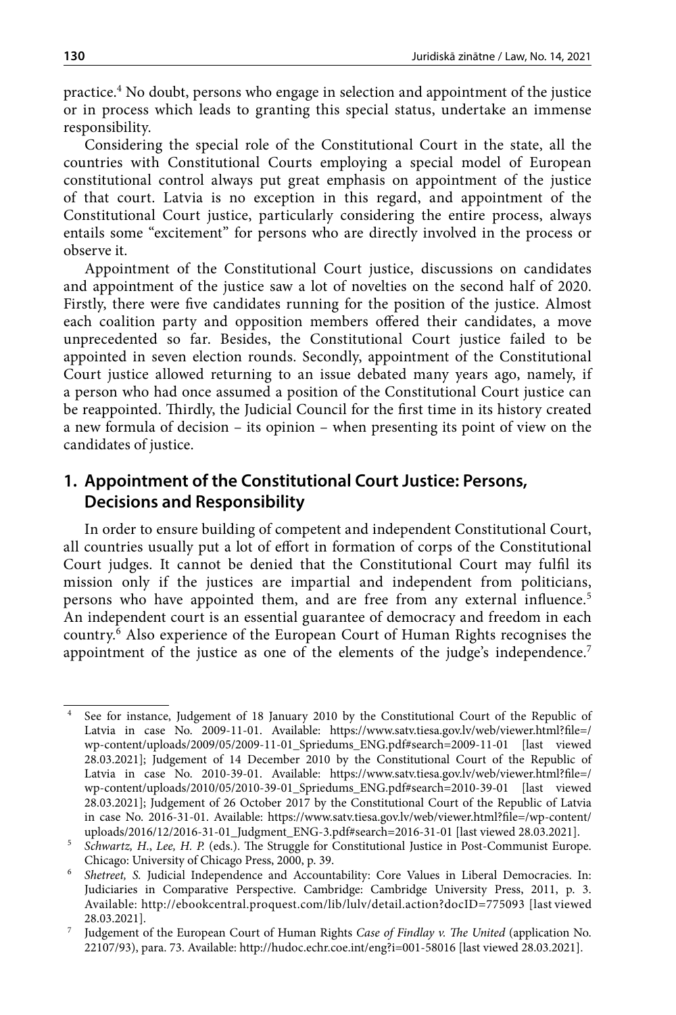practice.4 No doubt, persons who engage in selection and appointment of the justice or in process which leads to granting this special status, undertake an immense responsibility.

Considering the special role of the Constitutional Court in the state, all the countries with Constitutional Courts employing a special model of European constitutional control always put great emphasis on appointment of the justice of that court. Latvia is no exception in this regard, and appointment of the Constitutional Court justice, particularly considering the entire process, always entails some "excitement" for persons who are directly involved in the process or observe it.

Appointment of the Constitutional Court justice, discussions on candidates and appointment of the justice saw a lot of novelties on the second half of 2020. Firstly, there were five candidates running for the position of the justice. Almost each coalition party and opposition members offered their candidates, a move unprecedented so far. Besides, the Constitutional Court justice failed to be appointed in seven election rounds. Secondly, appointment of the Constitutional Court justice allowed returning to an issue debated many years ago, namely, if a person who had once assumed a position of the Constitutional Court justice can be reappointed. Thirdly, the Judicial Council for the first time in its history created a new formula of decision – its opinion – when presenting its point of view on the candidates of justice.

## **1. Appointment of the Constitutional Court Justice: Persons, Decisions and Responsibility**

In order to ensure building of competent and independent Constitutional Court, all countries usually put a lot of effort in formation of corps of the Constitutional Court judges. It cannot be denied that the Constitutional Court may fulfil its mission only if the justices are impartial and independent from politicians, persons who have appointed them, and are free from any external influence.<sup>5</sup> An independent court is an essential guarantee of democracy and freedom in each country.6 Also experience of the European Court of Human Rights recognises the appointment of the justice as one of the elements of the judge's independence.<sup>7</sup>

<sup>4</sup> See for instance, Judgement of 18 January 2010 by the Constitutional Court of the Republic of Latvia in case No. 2009-11-01. Available: [https://www.satv.tiesa.gov.lv/web/viewer.html?file=/](https://www.satv.tiesa.gov.lv/web/viewer.html?file=/wp-content/uploads/2009/05/2009-11-01_Spriedums_ENG.pdf#search=2009-11-01 [last) [wp-content/uploads/2009/05/2009-11-01\\_Spriedums\\_ENG.pdf#search=2009-11-01 \[last](https://www.satv.tiesa.gov.lv/web/viewer.html?file=/wp-content/uploads/2009/05/2009-11-01_Spriedums_ENG.pdf#search=2009-11-01 [last) viewed 28.03.2021]; Judgement of 14 December 2010 by the Constitutional Court of the Republic of Latvia in case No. 2010-39-01. Available: [https://www.satv.tiesa.gov.lv/web/viewer.html?file=/](https://www.satv.tiesa.gov.lv/web/viewer.html?file=/wp-content/uploads/2010/05/2010-39-01_Spriedums_ENG.pdf#search=2010-39-01) [wp-content/uploads/2010/05/2010-39-01\\_Spriedums\\_ENG.pdf#search=2010-39-01](https://www.satv.tiesa.gov.lv/web/viewer.html?file=/wp-content/uploads/2010/05/2010-39-01_Spriedums_ENG.pdf#search=2010-39-01) [last viewed 28.03.2021]; Judgement of 26 October 2017 by the Constitutional Court of the Republic of Latvia in case No. 2016-31-01. Available: [https://www.satv.tiesa.gov.lv/web/viewer.html?file=/wp-content/](https://www.satv.tiesa.gov.lv/web/viewer.html?file=/wp-content/uploads/2016/12/2016-31-01_Judgment_ENG-3.pdf#search=2016-31-01 [last) [uploads/2016/12/2016-31-01\\_Judgment\\_ENG-3.pdf#search=2016-31-01 \[last](https://www.satv.tiesa.gov.lv/web/viewer.html?file=/wp-content/uploads/2016/12/2016-31-01_Judgment_ENG-3.pdf#search=2016-31-01 [last) viewed 28.03.2021].

<sup>5</sup> *Schwartz, H*., *Lee, H. P.* (eds.). The Struggle for Constitutional Justice in Post-Communist Europe.

Chicago: University of Chicago Press, 2000, p. 39. 6 *Shetreet, S.* Judicial Independence and Accountability: Core Values in Liberal Democracies. In: Judiciaries in Comparative Perspective. Cambridge: Cambridge University Press, 2011, p. 3. Available: <http://ebookcentral.proquest.com/lib/lulv/detail.action?docID=775093> [last viewed 28.03.2021].

<sup>7</sup> Judgement of the European Court of Human Rights *Case of Findlay v. The United* (application No. [22107/93](C:\Users\sk00093\Downloads\22107\93)), para. 73. Available: <http://hudoc.echr.coe.int/eng?i=001-58016>[last viewed 28.03.2021].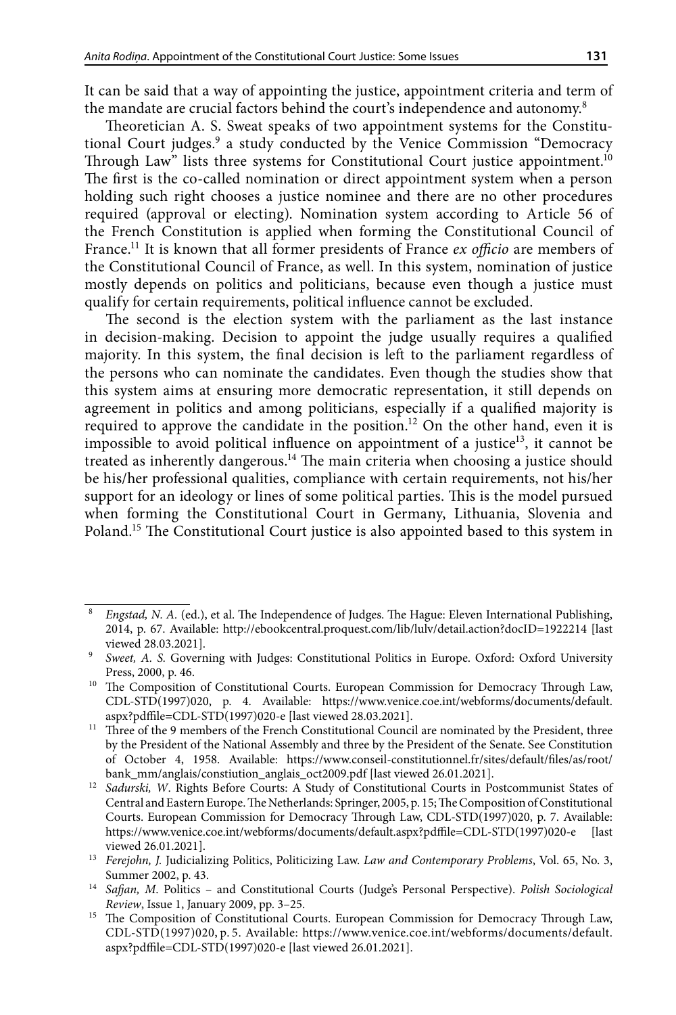It can be said that a way of appointing the justice, appointment criteria and term of the mandate are crucial factors behind the court's independence and autonomy.<sup>8</sup>

Theoretician A. S. Sweat speaks of two appointment systems for the Constitutional Court judges.<sup>9</sup> a study conducted by the Venice Commission "Democracy Through Law" lists three systems for Constitutional Court justice appointment.<sup>10</sup> The first is the co-called nomination or direct appointment system when a person holding such right chooses a justice nominee and there are no other procedures required (approval or electing). Nomination system according to Article 56 of the French Constitution is applied when forming the Constitutional Council of France.11 It is known that all former presidents of France *ex officio* are members of the Constitutional Council of France, as well. In this system, nomination of justice mostly depends on politics and politicians, because even though a justice must qualify for certain requirements, political influence cannot be excluded.

The second is the election system with the parliament as the last instance in decision-making. Decision to appoint the judge usually requires a qualified majority. In this system, the final decision is left to the parliament regardless of the persons who can nominate the candidates. Even though the studies show that this system aims at ensuring more democratic representation, it still depends on agreement in politics and among politicians, especially if a qualified majority is required to approve the candidate in the position.<sup>12</sup> On the other hand, even it is impossible to avoid political influence on appointment of a justice<sup>13</sup>, it cannot be treated as inherently dangerous.14 The main criteria when choosing a justice should be his/her professional qualities, compliance with certain requirements, not his/her support for an ideology or lines of some political parties. This is the model pursued when forming the Constitutional Court in Germany, Lithuania, Slovenia and Poland.15 The Constitutional Court justice is also appointed based to this system in

<sup>8</sup> *Engstad, N. A.* (ed.), et al. The Independence of Judges. The Hague: Eleven International Publishing, 2014, p. 67. Available: <http://ebookcentral.proquest.com/lib/lulv/detail.action?docID=1922214>[last viewed 28.03.2021].

<sup>9</sup> *Sweet, A. S.* Governing with Judges: Constitutional Politics in Europe. Oxford: Oxford University Press, 2000, p. 46. 10 The Composition of Constitutional Courts. European Commission for Democracy Through Law,

CDL-STD(1997)020, p. 4. Available: [https://www.venice.coe.int/webforms/documents/default.](https://www.venice.coe.int/webforms/documents/default.aspx?pdffile=CDL-STD(1997)020-e) [aspx?pdffile=CDL-STD\(1997\)020-e](https://www.venice.coe.int/webforms/documents/default.aspx?pdffile=CDL-STD(1997)020-e) [last viewed 28.03.2021].

<sup>&</sup>lt;sup>11</sup> Three of the 9 members of the French Constitutional Council are nominated by the President, three by the President of the National Assembly and three by the President of the Senate. See Constitution of October 4, 1958. Available: [https://www.conseil-constitutionnel.fr/sites/default/files/as/root/](https://www.conseil-constitutionnel.fr/sites/default/files/as/root/bank_mm/anglais/constiution_anglais_oct2009.pdf) [bank\\_mm/anglais/constiution\\_anglais\\_oct2009.pdf](https://www.conseil-constitutionnel.fr/sites/default/files/as/root/bank_mm/anglais/constiution_anglais_oct2009.pdf) [last viewed 26.01.2021].

<sup>&</sup>lt;sup>12</sup> Sadurski, W. Rights Before Courts: A Study of Constitutional Courts in Postcommunist States of Central and Eastern Europe. The Netherlands: Springer, 2005, p. 15; The Composition of Constitutional Courts. European Commission for Democracy Through Law, CDL-STD(1997)020, p. 7. Available: https://www.venice.coe.int/webforms/documents/default.aspx?pdffile=CDL-STD(1997)020-e [last viewed 26.01.2021].

<sup>13</sup> *[Ferejohn,](https://scholarship.law.duke.edu/do/search/?q=author_lname:%22Ferejohn%22 author_fname:%22John%22&start=0&context=1022222) J.* [Judicializing Politics, Politicizing Law.](https://scholarship.law.duke.edu/cgi/viewcontent.cgi?article=1258&context=lcp) *Law and Contemporary Problems*, Vol. 65, No. 3, Summer 2002, p. 43. 14 *Safjan, M*. [Politics – and Constitutional Courts \(Judge's Personal Perspective\).](https://primolatvija.hosted.exlibrisgroup.com/primo-explore/fulldisplay?docid=TN_jstor_archive_1041275087&context=PC&vid=371KISCLU_VU1&lang=lv_LV&search_scope=default_scope&adaptor=primo_central_multiple_fe&tab=default_tab&query=any,contains,Safjan Marek&offset=0) *Polish Sociological* 

*Review*, Issue 1, January 2009, pp. 3–25.

<sup>15</sup> The Composition of Constitutional Courts. European Commission for Democracy Through Law, CDL-STD(1997)020, p. 5. Available: https://www.venice.coe.int/webforms/documents/default. aspx?pdffile=CDL-STD(1997)020-e [last viewed 26.01.2021].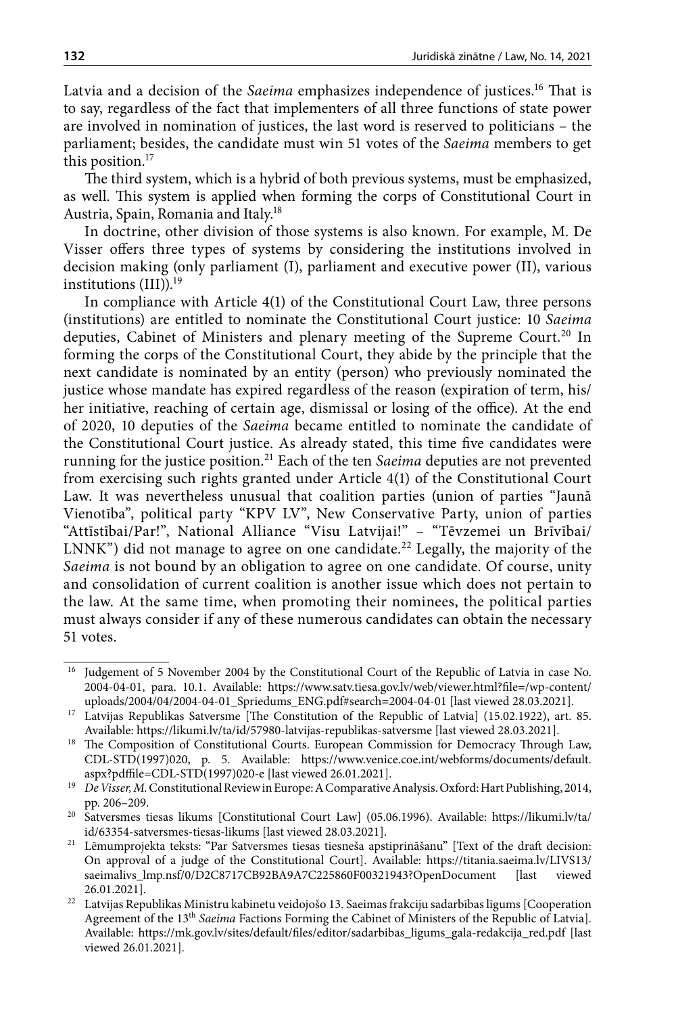Latvia and a decision of the *Saeima* emphasizes independence of justices.16 That is to say, regardless of the fact that implementers of all three functions of state power are involved in nomination of justices, the last word is reserved to politicians – the parliament; besides, the candidate must win 51 votes of the *Saeima* members to get this position.<sup>17</sup>

The third system, which is a hybrid of both previous systems, must be emphasized, as well. This system is applied when forming the corps of Constitutional Court in Austria, Spain, Romania and Italy.18

In doctrine, other division of those systems is also known. For example, M. De Visser offers three types of systems by considering the institutions involved in decision making (only parliament (I), parliament and executive power (II), various institutions (III)).<sup>19</sup>

In compliance with Article 4(1) of the Constitutional Court Law, three persons (institutions) are entitled to nominate the Constitutional Court justice: 10 *Saeima* deputies, Cabinet of Ministers and plenary meeting of the Supreme Court.<sup>20</sup> In forming the corps of the Constitutional Court, they abide by the principle that the next candidate is nominated by an entity (person) who previously nominated the justice whose mandate has expired regardless of the reason (expiration of term, his/ her initiative, reaching of certain age, dismissal or losing of the office). At the end of 2020, 10 deputies of the *Saeima* became entitled to nominate the candidate of the Constitutional Court justice. As already stated, this time five candidates were running for the justice position.21 Each of the ten *Saeima* deputies are not prevented from exercising such rights granted under Article 4(1) of the Constitutional Court Law. It was nevertheless unusual that coalition parties (union of parties "Jaunā Vienotība", political party "KPV LV", New Conservative Party, union of parties "Attīstībai/Par!", National Alliance "Visu Latvijai!" – "Tēvzemei un Brīvībai/ LNNK") did not manage to agree on one candidate.<sup>22</sup> Legally, the majority of the *Saeima* is not bound by an obligation to agree on one candidate. Of course, unity and consolidation of current coalition is another issue which does not pertain to the law. At the same time, when promoting their nominees, the political parties must always consider if any of these numerous candidates can obtain the necessary 51 votes.

<sup>&</sup>lt;sup>16</sup> Judgement of 5 November 2004 by the Constitutional Court of the Republic of Latvia in case No. 2004-04-01, para. 10.1. Available: [https://www.satv.tiesa.gov.lv/web/viewer.html?file=/wp-content/](https://www.satv.tiesa.gov.lv/web/viewer.html?file=/wp-content/uploads/2004/04/2004-04-01_Spriedums_ENG.pdf#search=2004-04-01) [uploads/2004/04/2004-04-01\\_Spriedums\\_ENG.pdf#search=2004-04-01](https://www.satv.tiesa.gov.lv/web/viewer.html?file=/wp-content/uploads/2004/04/2004-04-01_Spriedums_ENG.pdf#search=2004-04-01) [last viewed 28.03.2021].

<sup>&</sup>lt;sup>17</sup> Latvijas Republikas Satversme [The Constitution of the Republic of Latvia] (15.02.1922), art. 85.

Available: <https://likumi.lv/ta/id/57980-latvijas-republikas-satversme>[last viewed 28.03.2021]. 18 The Composition of Constitutional Courts. European Commission for Democracy Through Law, CDL-STD(1997)020, p. 5. Available: https://www.venice.coe.int/webforms/documents/default. aspx?pdffile=CDL-STD(1997)020-e [last viewed 26.01.2021].

<sup>19</sup> *De Visser, M.* Constitutional Review in Europe: A Comparative Analysis. Oxford: Hart Publishing, 2014, pp. 206–209.

<sup>20</sup> Satversmes tiesas likums [Constitutional Court Law] (05.06.1996). Available: [https://likumi.lv/ta/](https://likumi.lv/ta/id/63354-satversmes-tiesas-likums) [id/63354-satversmes-tiesas-likums](https://likumi.lv/ta/id/63354-satversmes-tiesas-likums) [last viewed 28.03.2021].

<sup>21</sup> Lēmumprojekta teksts: "Par Satversmes tiesas tiesneša apstiprināšanu" [\[Text of the draft decision:](https://titania.saeima.lv/LIVS13/saeimalivs_lmp.nsf/0/D2C8717CB92BA9A7C225860F00321943?OpenDocument) [On approval of a judge of the Constitutional Court](https://titania.saeima.lv/LIVS13/saeimalivs_lmp.nsf/0/D2C8717CB92BA9A7C225860F00321943?OpenDocument)]. Available: [https://titania.saeima.lv/LIVS13/](https://titania.saeima.lv/LIVS13/saeimalivs_lmp.nsf/0/D2C8717CB92BA9A7C225860F00321943?OpenDocument) [saeimalivs\\_lmp.nsf/0/D2C8717CB92BA9A7C225860F00321943?OpenDocument](https://titania.saeima.lv/LIVS13/saeimalivs_lmp.nsf/0/D2C8717CB92BA9A7C225860F00321943?OpenDocument) [last 26.01.2021].

 $^\mathrm{22}$ Latvijas Republikas Ministru kabinetu veidojošo 13. Saeimas frakciju sadarbības līgums [Cooperation Agreement of the 13th *Saeima* Factions Forming the Cabinet of Ministers of the Republic of Latvia]. Available: [https://mk.gov.lv/sites/default/files/editor/sadarbibas\\_ligums\\_gala-redakcija\\_red.pdf](https://mk.gov.lv/sites/default/files/editor/sadarbibas_ligums_gala-redakcija_red.pdf) [last viewed 26.01.2021].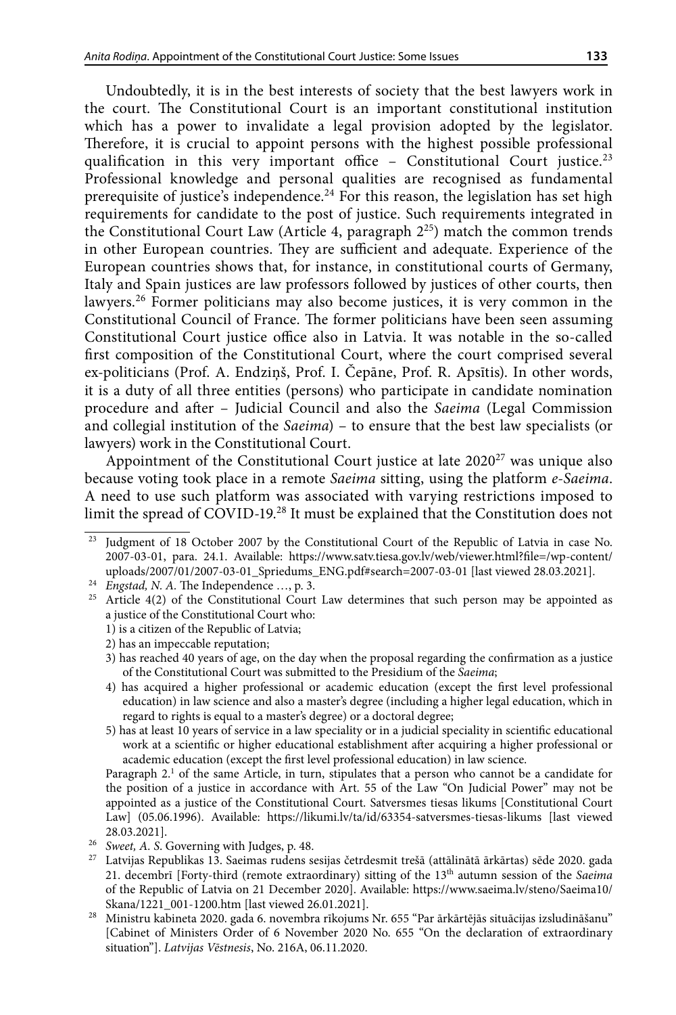Undoubtedly, it is in the best interests of society that the best lawyers work in the court. The Constitutional Court is an important constitutional institution which has a power to invalidate a legal provision adopted by the legislator. Therefore, it is crucial to appoint persons with the highest possible professional qualification in this very important office - Constitutional Court justice.<sup>23</sup> Professional knowledge and personal qualities are recognised as fundamental prerequisite of justice's independence.<sup>24</sup> For this reason, the legislation has set high requirements for candidate to the post of justice. Such requirements integrated in the Constitutional Court Law (Article 4, paragraph 225) match the common trends in other European countries. They are sufficient and adequate. Experience of the European countries shows that, for instance, in constitutional courts of Germany, Italy and Spain justices are law professors followed by justices of other courts, then lawyers.26 Former politicians may also become justices, it is very common in the Constitutional Council of France. The former politicians have been seen assuming Constitutional Court justice office also in Latvia. It was notable in the so-called first composition of the Constitutional Court, where the court comprised several ex-politicians (Prof. A. Endziņš, Prof. I. Čepāne, Prof. R. Apsītis). In other words, it is a duty of all three entities (persons) who participate in candidate nomination procedure and after – Judicial Council and also the *Saeima* (Legal Commission and collegial institution of the *Saeima*) – to ensure that the best law specialists (or lawyers) work in the Constitutional Court.

Appointment of the Constitutional Court justice at late 2020<sup>27</sup> was unique also because voting took place in a remote *Saeima* sitting, using the platform *e-Saeima*. A need to use such platform was associated with varying restrictions imposed to limit the spread of COVID-19.28 It must be explained that the Constitution does not

Paragraph 2.<sup>1</sup> of the same Article, in turn, stipulates that a person who cannot be a candidate for the position of a justice in accordance with Art. 55 of the Law "On Judicial Power" may not be appointed as a justice of the Constitutional Court. Satversmes tiesas likums [Constitutional Court Law] (05.06.1996). Available: <https://likumi.lv/ta/id/63354-satversmes-tiesas-likums> [last viewed 28.03.2021]. Sweet, A. S. Governing with Judges, p. 48.

Judgment of 18 October 2007 by the Constitutional Court of the Republic of Latvia in case No. 2007-03-01, para. 24.1. Available: [https://www.satv.tiesa.gov.lv/web/viewer.html?file=/wp-content/](https://www.satv.tiesa.gov.lv/web/viewer.html?file=/wp-content/uploads/2007/01/2007-03-01_Spriedums_ENG.pdf%23search=2007-03-01) [uploads/2007/01/2007-03-01\\_Spriedums\\_ENG.pdf#search=2007-03-01](https://www.satv.tiesa.gov.lv/web/viewer.html?file=/wp-content/uploads/2007/01/2007-03-01_Spriedums_ENG.pdf%23search=2007-03-01) [last viewed 28.03.2021].

<sup>&</sup>lt;sup>25</sup> Article 4(2) of the Constitutional Court Law determines that such person may be appointed as a justice of the Constitutional Court who:

<sup>1)</sup> is a citizen of the Republic of Latvia;

<sup>2)</sup> has an impeccable reputation;

<sup>3)</sup> has reached 40 years of age, on the day when the proposal regarding the confirmation as a justice of the Constitutional Court was submitted to the Presidium of the *Saeima*;

<sup>4)</sup> has acquired a higher professional or academic education (except the first level professional education) in law science and also a master's degree (including a higher legal education, which in regard to rights is equal to a master's degree) or a doctoral degree;

<sup>5)</sup> has at least 10 years of service in a law speciality or in a judicial speciality in scientific educational work at a scientific or higher educational establishment after acquiring a higher professional or academic education (except the first level professional education) in law science.

<sup>&</sup>lt;sup>27</sup> Latvijas Republikas 13. Saeimas rudens sesijas četrdesmit trešā (attālinātā ārkārtas) sēde 2020. gada 21. decembrī [Forty-third (remote extraordinary) sitting of the 13<sup>th</sup> autumn session of the *Saeima* of the Republic of Latvia on 21 December 2020]. Available: [https://www.saeima.lv/steno/Saeima10/](https://www.saeima.lv/steno/Saeima10/Skana/1221_001-1200.htm) [Skana/1221\\_001-1200.htm](https://www.saeima.lv/steno/Saeima10/Skana/1221_001-1200.htm) [last viewed 26.01.2021].

<sup>28</sup> Ministru kabineta 2020. gada 6. novembra rīkojums Nr. 655 "Par ārkārtējās situācijas izsludināšanu" [Cabinet of Ministers Order of 6 November 2020 No. 655 "On the declaration of extraordinary situation"]. *[Latvijas Vēstnesis](https://www.vestnesis.lv/ta/id/318517-par-arkartejas-situacijas-izsludinasanu)*, No. 216A, 06.11.2020.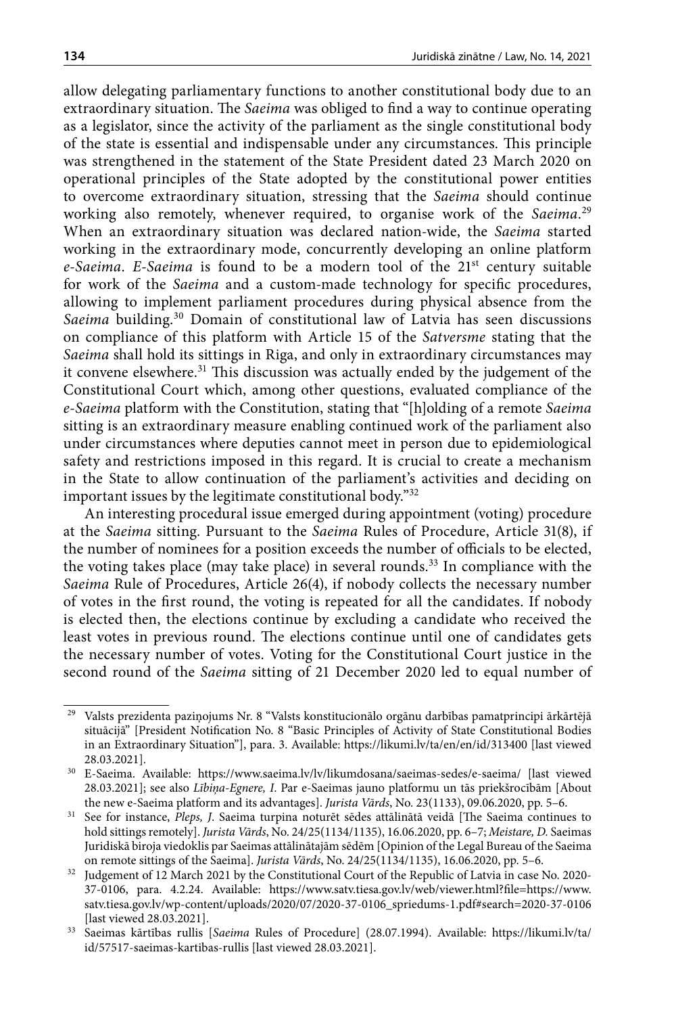allow delegating parliamentary functions to another constitutional body due to an extraordinary situation. The *Saeima* was obliged to find a way to continue operating as a legislator, since the activity of the parliament as the single constitutional body of the state is essential and indispensable under any circumstances. This principle was strengthened in the statement of the State President dated 23 March 2020 on operational principles of the State adopted by the constitutional power entities to overcome extraordinary situation, stressing that the *Saeima* should continue working also remotely, whenever required, to organise work of the *Saeima*. 29 When an extraordinary situation was declared nation-wide, the *Saeima* started working in the extraordinary mode, concurrently developing an online platform *e-Saeima*. *E-Saeima* is found to be a modern tool of the 21st century suitable for work of the *Saeima* and a custom-made technology for specific procedures, allowing to implement parliament procedures during physical absence from the *Saeima* building.30 Domain of constitutional law of Latvia has seen discussions on compliance of this platform with Article 15 of the *Satversme* stating that the *Saeima* shall hold its sittings in Riga, and only in extraordinary circumstances may it convene elsewhere.<sup>31</sup> This discussion was actually ended by the judgement of the Constitutional Court which, among other questions, evaluated compliance of the *e-Saeima* platform with the Constitution, stating that "[h]olding of a remote *Saeima* sitting is an extraordinary measure enabling continued work of the parliament also under circumstances where deputies cannot meet in person due to epidemiological safety and restrictions imposed in this regard. It is crucial to create a mechanism in the State to allow continuation of the parliament's activities and deciding on important issues by the legitimate constitutional body."32

An interesting procedural issue emerged during appointment (voting) procedure at the *Saeima* sitting. Pursuant to the *Saeima* Rules of Procedure, Article 31(8), if the number of nominees for a position exceeds the number of officials to be elected, the voting takes place (may take place) in several rounds.33 In compliance with the *Saeima* Rule of Procedures, Article 26(4), if nobody collects the necessary number of votes in the first round, the voting is repeated for all the candidates. If nobody is elected then, the elections continue by excluding a candidate who received the least votes in previous round. The elections continue until one of candidates gets the necessary number of votes. Voting for the Constitutional Court justice in the second round of the *Saeima* sitting of 21 December 2020 led to equal number of

 $^{29}\,$  Valsts prezidenta paziņojums Nr. 8 "Valsts konstitucionālo orgānu darbības pamatprincipi ārkārtējā situācijā" [[President Notification No. 8 "Basic Principles of Activity of State Constitutional Bodies](https://likumi.lv/ta/en/en/id/313400)  [in an Extraordinary Situation"](https://likumi.lv/ta/en/en/id/313400)], para. 3. Available: <https://likumi.lv/ta/en/en/id/313400>[last viewed 28.03.2021].

<sup>30</sup> E-Saeima. Available: <https://www.saeima.lv/lv/likumdosana/saeimas-sedes/e-saeima/>[last viewed 28.03.2021]; see also *Lībiņa-Egnere, I*. Par e-Saeimas jauno platformu un tās priekšrocībām [About the new e-Saeima platform and its advantages]. *Jurista Vārds*, No. 23(1133), 09.06.2020, pp. 5–6.

<sup>31</sup> See for instance, *Pleps, J*. Saeima turpina noturēt sēdes attālinātā veidā [The Saeima continues to hold sittings remotely]. *Jurista Vārds*, No. 24/25(1134/1135), 16.06.2020, pp. 6–7; *Meistare, D.* Saeimas Juridiskā biroja viedoklis par Saeimas attālinātajām sēdēm [Opinion of the Legal Bureau of the Saeima on remote sittings of the Saeima]. *Jurista Vārds*, No. 24/25(1134/1135), 16.06.2020, pp. 5–6. 32 Judgement of 12 March 2021 by the Constitutional Court of the Republic of Latvia in case No. 2020-

<sup>37-0106,</sup> para. 4.2.24. Available: [https://www.satv.tiesa.gov.lv/web/viewer.html?file=https://www.](https://www.satv.tiesa.gov.lv/web/viewer.html?file=https://www.satv.tiesa.gov.lv/wp-content/uploads/2020/07/2020-37-0106_spriedums-1.pdf%23search=2020-37-0106) [satv.tiesa.gov.lv/wp-content/uploads/2020/07/2020-37-0106\\_spriedums-1.pdf#search=2020-37-0106](https://www.satv.tiesa.gov.lv/web/viewer.html?file=https://www.satv.tiesa.gov.lv/wp-content/uploads/2020/07/2020-37-0106_spriedums-1.pdf%23search=2020-37-0106) [last viewed 28.03.2021].

<sup>33</sup> Saeimas kārtības rullis [*Saeima* Rules of Procedure] (28.07.1994). Available: [https://likumi.lv/ta/](https://likumi.lv/ta/id/57517-saeimas-kartibas-rullis) [id/57517-saeimas-kartibas-rullis](https://likumi.lv/ta/id/57517-saeimas-kartibas-rullis) [last viewed 28.03.2021].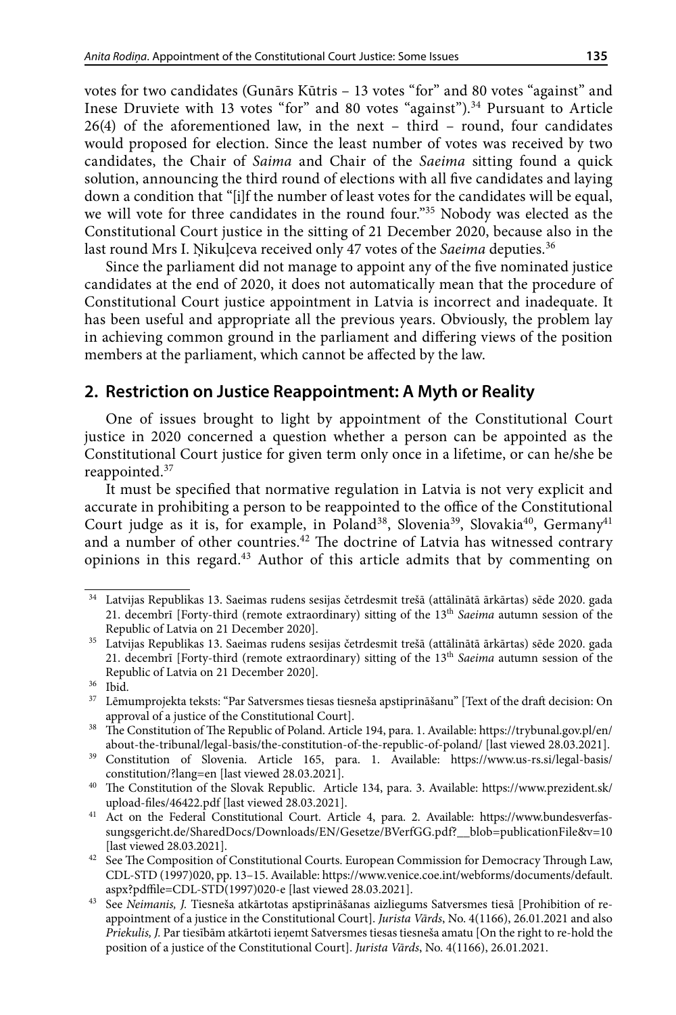votes for two candidates (Gunārs Kūtris – 13 votes "for" and 80 votes "against" and Inese Druviete with 13 votes "for" and 80 votes "against").<sup>34</sup> Pursuant to Article 26(4) of the aforementioned law, in the next – third – round, four candidates would proposed for election. Since the least number of votes was received by two candidates, the Chair of *Saima* and Chair of the *Saeima* sitting found a quick solution, announcing the third round of elections with all five candidates and laying down a condition that "[i]f the number of least votes for the candidates will be equal, we will vote for three candidates in the round four."<sup>35</sup> Nobody was elected as the Constitutional Court justice in the sitting of 21 December 2020, because also in the last round Mrs I. Ņikuļceva received only 47 votes of the *Saeima* deputies.<sup>36</sup>

Since the parliament did not manage to appoint any of the five nominated justice candidates at the end of 2020, it does not automatically mean that the procedure of Constitutional Court justice appointment in Latvia is incorrect and inadequate. It has been useful and appropriate all the previous years. Obviously, the problem lay in achieving common ground in the parliament and differing views of the position members at the parliament, which cannot be affected by the law.

## **2. Restriction on Justice Reappointment: A Myth or Reality**

One of issues brought to light by appointment of the Constitutional Court justice in 2020 concerned a question whether a person can be appointed as the Constitutional Court justice for given term only once in a lifetime, or can he/she be reappointed.37

It must be specified that normative regulation in Latvia is not very explicit and accurate in prohibiting a person to be reappointed to the office of the Constitutional Court judge as it is, for example, in Poland<sup>38</sup>, Slovenia<sup>39</sup>, Slovakia<sup>40</sup>, Germany<sup>41</sup> and a number of other countries.<sup>42</sup> The doctrine of Latvia has witnessed contrary opinions in this regard.43 Author of this article admits that by commenting on

<sup>34</sup> Latvijas Republikas 13. Saeimas rudens sesijas četrdesmit trešā (attālinātā ārkārtas) sēde 2020. gada 21. decembrī [Forty-third (remote extraordinary) sitting of the 13th *Saeima* autumn session of the Republic of Latvia on 21 December 2020]. 35 Latvijas Republikas 13. Saeimas rudens sesijas četrdesmit trešā (attālinātā ārkārtas) sēde 2020. gada

<sup>21.</sup> decembrī [Forty-third (remote extraordinary) sitting of the 13th *Saeima* autumn session of the Republic of Latvia on 21 December 2020].<br><sup>36</sup> Ibid

<sup>37</sup> Lēmumprojekta teksts: "Par Satversmes tiesas tiesneša apstiprināšanu" [\[Text of the draft decision:](https://titania.saeima.lv/LIVS13/saeimalivs_lmp.nsf/0/D2C8717CB92BA9A7C225860F00321943?OpenDocument) [On](https://titania.saeima.lv/LIVS13/saeimalivs_lmp.nsf/0/D2C8717CB92BA9A7C225860F00321943?OpenDocument)

[approval of a justice of the Constitutional Court\]](https://titania.saeima.lv/LIVS13/saeimalivs_lmp.nsf/0/D2C8717CB92BA9A7C225860F00321943?OpenDocument). 38 The Constitution of The Republic of Poland. Article 194, para. 1. Available: [https://trybunal.gov.pl/en/](https://trybunal.gov.pl/en/about-the-tribunal/legal-basis/the-constitution-of-the-republic-of-poland/) [about-the-tribunal/legal-basis/the-constitution-of-the-republic-of-poland/](https://trybunal.gov.pl/en/about-the-tribunal/legal-basis/the-constitution-of-the-republic-of-poland/) [last viewed 28.03.2021].

<sup>39</sup> Constitution of Slovenia. Article 165, para. 1. Available: [https://www.us-rs.si/legal-basis/](https://www.us-rs.si/legal-basis/constitution/?lang=en) [constitution/?lang=en](https://www.us-rs.si/legal-basis/constitution/?lang=en) [last viewed 28.03.2021].

<sup>40</sup> [The Constitution of the Slovak Republic.](https://www.concourt.am/armenian/legal_resources/world_constitutions/constit/slovakia/slovak-e.htm) Article 134, para. 3. Available: [https://www.prezident.sk/](https://www.prezident.sk/upload-files/46422.pdf) [upload-files/46422.pdf](https://www.prezident.sk/upload-files/46422.pdf) [last viewed 28.03.2021].

<sup>&</sup>lt;sup>41</sup> Act on the Federal Constitutional Court. Article 4, para. 2. Available: [https://www.bundesverfas](https://www.bundesverfassungsgericht.de/SharedDocs/Downloads/EN/Gesetze/BVerfGG.pdf?__blob=publicationFile&v=10)[sungsgericht.de/SharedDocs/Downloads/EN/Gesetze/BVerfGG.pdf?\\_\\_blob=publicationFile&v=10](https://www.bundesverfassungsgericht.de/SharedDocs/Downloads/EN/Gesetze/BVerfGG.pdf?__blob=publicationFile&v=10) [last viewed 28.03.2021].

 $^{42}\;$  See The Composition of Constitutional Courts. European Commission for Democracy Through Law, CDL-STD (1997)020, pp. 13–15. Available: https://www.venice.coe.int/webforms/documents/default. aspx?pdffile=CDL-STD(1997)020-e [last viewed 28.03.2021].

<sup>43</sup> See *Neimanis, J.* Tiesneša atkārtotas apstiprināšanas aizliegums Satversmes tiesā [Prohibition of reappointment of a justice in the Constitutional Court]. *Jurista Vārds*, No. 4(1166), 26.01.2021 and also *Priekulis, J.* Par tiesībām atkārtoti ieņemt Satversmes tiesas tiesneša amatu [On the right to re-hold the position of a justice of the Constitutional Court]. *Jurista Vārds*, No. 4(1166), 26.01.2021.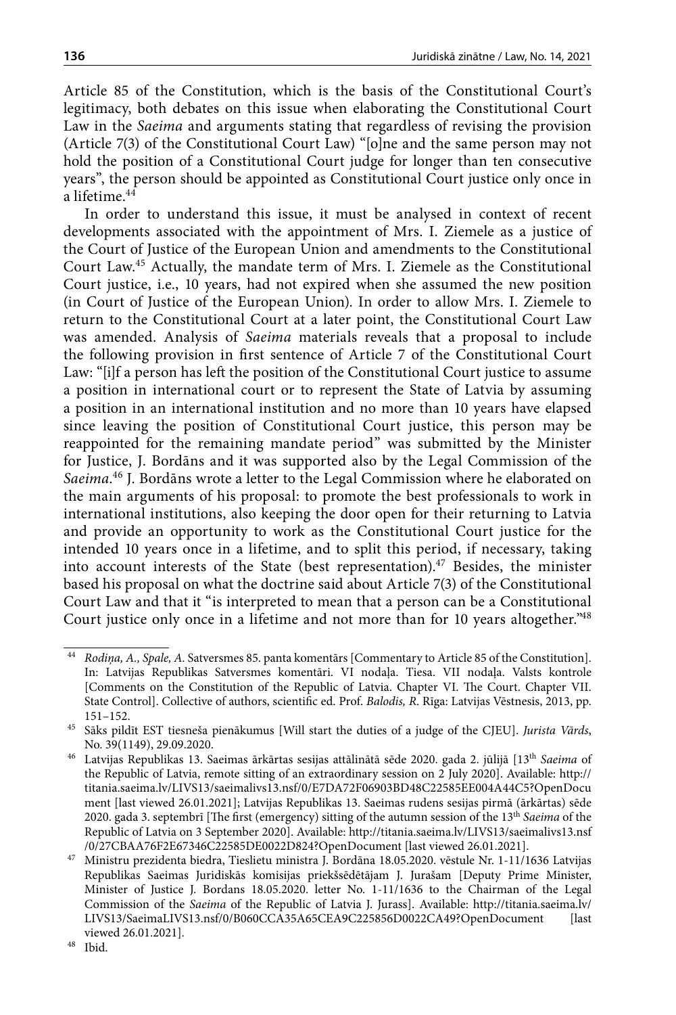Article 85 of the Constitution, which is the basis of the Constitutional Court's legitimacy, both debates on this issue when elaborating the Constitutional Court Law in the *Saeima* and arguments stating that regardless of revising the provision (Article 7(3) of the Constitutional Court Law) "[o]ne and the same person may not hold the position of a Constitutional Court judge for longer than ten consecutive years", the person should be appointed as Constitutional Court justice only once in a lifetime.<sup>44</sup>

In order to understand this issue, it must be analysed in context of recent developments associated with the appointment of Mrs. I. Ziemele as a justice of the Court of Justice of the European Union and amendments to the Constitutional Court Law.45 Actually, the mandate term of Mrs. I. Ziemele as the Constitutional Court justice, i.e., 10 years, had not expired when she assumed the new position (in Court of Justice of the European Union). In order to allow Mrs. I. Ziemele to return to the Constitutional Court at a later point, the Constitutional Court Law was amended. Analysis of *Saeima* materials reveals that a proposal to include the following provision in first sentence of Article 7 of the Constitutional Court Law: "[i]f a person has left the position of the Constitutional Court justice to assume a position in international court or to represent the State of Latvia by assuming a position in an international institution and no more than 10 years have elapsed since leaving the position of Constitutional Court justice, this person may be reappointed for the remaining mandate period" was submitted by the Minister for Justice, J. Bordāns and it was supported also by the Legal Commission of the *Saeima*. 46 J. Bordāns wrote a letter to the Legal Commission where he elaborated on the main arguments of his proposal: to promote the best professionals to work in international institutions, also keeping the door open for their returning to Latvia and provide an opportunity to work as the Constitutional Court justice for the intended 10 years once in a lifetime, and to split this period, if necessary, taking into account interests of the State (best representation).<sup>47</sup> Besides, the minister based his proposal on what the doctrine said about Article 7(3) of the Constitutional Court Law and that it "is interpreted to mean that a person can be a Constitutional Court justice only once in a lifetime and not more than for 10 years altogether."48

<sup>44</sup> *Rodiņa, A., Spale, A.* Satversmes 85. panta komentārs [Commentary to Article 85 of the Constitution]. In: Latvijas Republikas Satversmes komentāri. VI nodaļa. Tiesa. VII nodaļa. Valsts kontrole [Comments on the Constitution of the Republic of Latvia. Chapter VI. The Court. Chapter VII. State Control]. Collective of authors, scientific ed. Prof. *Balodis, R*. Rīga: Latvijas Vēstnesis, 2013, pp. 151–152. 45 Sāks pildīt EST tiesneša pienākumus [Will start the duties of a judge of the CJEU]. *Jurista Vārds*,

No. 39(1149), 29.09.2020.

<sup>46</sup> Latvijas Republikas 13. Saeimas ārkārtas sesijas attālinātā sēde 2020. gada 2. jūlijā [13th *Saeima* of the Republic of Latvia, remote sitting of an extraordinary session on 2 July 2020]. Available: [http://](http://titania.saeima.lv/LIVS13/saeimalivs13.nsf/0/E7DA72F06903BD48C22585EE004A44C5?OpenDocument) [titania.saeima.lv/LIVS13/saeimalivs13.nsf/0/E7DA72F06903BD48C22585EE004A44C5?OpenDocu](http://titania.saeima.lv/LIVS13/saeimalivs13.nsf/0/E7DA72F06903BD48C22585EE004A44C5?OpenDocument) [ment](http://titania.saeima.lv/LIVS13/saeimalivs13.nsf/0/E7DA72F06903BD48C22585EE004A44C5?OpenDocument) [last viewed 26.01.2021]; Latvijas Republikas 13. Saeimas rudens sesijas pirmā (ārkārtas) sēde 2020. gada 3. septembrī [The first (emergency) sitting of the autumn session of the 13th *Saeima* of the Republic of Latvia on 3 September 2020]. Available: [http://titania.saeima.lv/LIVS13/saeimalivs13.nsf](http://titania.saeima.lv/LIVS13/saeimalivs13.nsf/0/27CBAA76F2E67346C22585DE0022D824?OpenDocument) [/0/27CBAA76F2E67346C22585DE0022D824?OpenDocument](http://titania.saeima.lv/LIVS13/saeimalivs13.nsf/0/27CBAA76F2E67346C22585DE0022D824?OpenDocument) [last viewed 26.01.2021].

<sup>47</sup> Ministru prezidenta biedra, Tieslietu ministra J. Bordāna 18.05.2020. vēstule Nr. 1-11/1636 Latvijas Republikas Saeimas Juridiskās komisijas priekšsēdētājam J. Jurašam [Deputy Prime Minister, Minister of Justice J. Bordans 18.05.2020. letter No. 1-11/1636 to the Chairman of the Legal Commission of the *Saeima* of the Republic of Latvia J. Jurass]. Available: [http://titania.saeima.lv/](http://titania.saeima.lv/LIVS13/SaeimaLIVS13.nsf/0/B060CCA35A65CEA9C225856D0022CA49?OpenDocument) [LIVS13/SaeimaLIVS13.nsf/0/B060CCA35A65CEA9C225856D0022CA49?OpenDocument](http://titania.saeima.lv/LIVS13/SaeimaLIVS13.nsf/0/B060CCA35A65CEA9C225856D0022CA49?OpenDocument) [last viewed 26.01.2021].

<sup>48</sup> Ibid.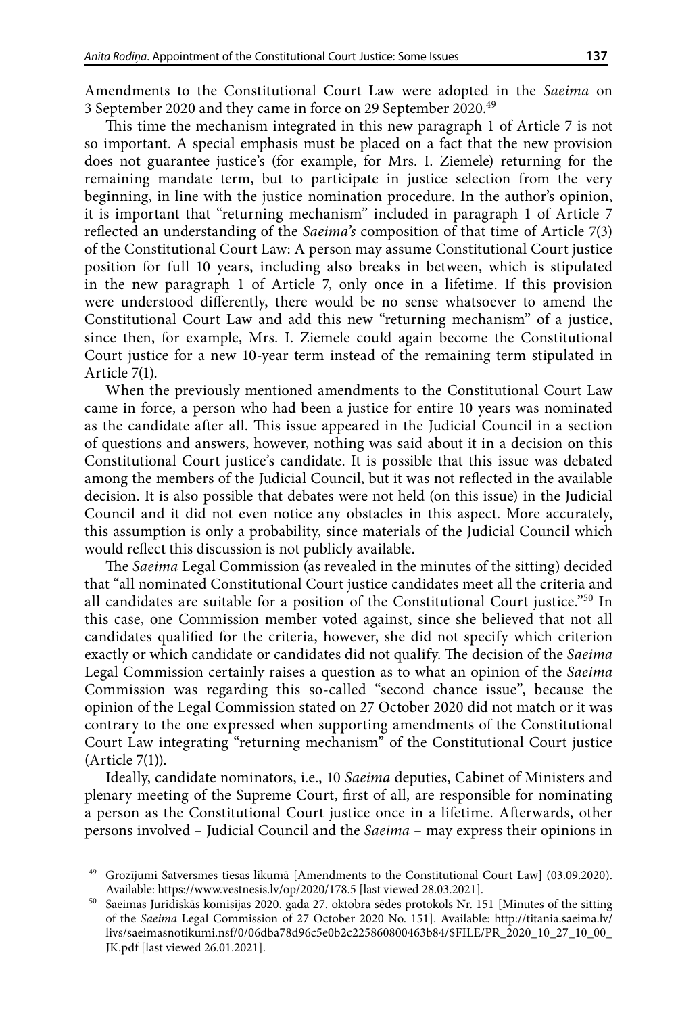Amendments to the Constitutional Court Law were adopted in the *Saeima* on 3 September 2020 and they came in force on 29 September 2020.49

This time the mechanism integrated in this new paragraph 1 of Article 7 is not so important. A special emphasis must be placed on a fact that the new provision does not guarantee justice's (for example, for Mrs. I. Ziemele) returning for the remaining mandate term, but to participate in justice selection from the very beginning, in line with the justice nomination procedure. In the author's opinion, it is important that "returning mechanism" included in paragraph 1 of Article 7 reflected an understanding of the *Saeima's* composition of that time of Article 7(3) of the Constitutional Court Law: A person may assume Constitutional Court justice position for full 10 years, including also breaks in between, which is stipulated in the new paragraph 1 of Article 7, only once in a lifetime. If this provision were understood differently, there would be no sense whatsoever to amend the Constitutional Court Law and add this new "returning mechanism" of a justice, since then, for example, Mrs. I. Ziemele could again become the Constitutional Court justice for a new 10-year term instead of the remaining term stipulated in Article 7(1).

When the previously mentioned amendments to the Constitutional Court Law came in force, a person who had been a justice for entire 10 years was nominated as the candidate after all. This issue appeared in the Judicial Council in a section of questions and answers, however, nothing was said about it in a decision on this Constitutional Court justice's candidate. It is possible that this issue was debated among the members of the Judicial Council, but it was not reflected in the available decision. It is also possible that debates were not held (on this issue) in the Judicial Council and it did not even notice any obstacles in this aspect. More accurately, this assumption is only a probability, since materials of the Judicial Council which would reflect this discussion is not publicly available.

The *Saeima* Legal Commission (as revealed in the minutes of the sitting) decided that "all nominated Constitutional Court justice candidates meet all the criteria and all candidates are suitable for a position of the Constitutional Court justice."50 In this case, one Commission member voted against, since she believed that not all candidates qualified for the criteria, however, she did not specify which criterion exactly or which candidate or candidates did not qualify. The decision of the *Saeima* Legal Commission certainly raises a question as to what an opinion of the *Saeima* Commission was regarding this so-called "second chance issue", because the opinion of the Legal Commission stated on 27 October 2020 did not match or it was contrary to the one expressed when supporting amendments of the Constitutional Court Law integrating "returning mechanism" of the Constitutional Court justice (Article 7(1)).

Ideally, candidate nominators, i.e., 10 *Saeima* deputies, Cabinet of Ministers and plenary meeting of the Supreme Court, first of all, are responsible for nominating a person as the Constitutional Court justice once in a lifetime. Afterwards, other persons involved – Judicial Council and the *Saeima* – may express their opinions in

<sup>49</sup> Grozījumi Satversmes tiesas likumā [Amendments [to the Constitutional Court Law\]](https://likumi.lv/ta/id/63354-satversmes-tiesas-likums) (03.09.2020). Available: <https://www.vestnesis.lv/op/2020/178.5>[last viewed 28.03.2021].

<sup>50</sup> Saeimas Juridiskās komisijas 2020. gada 27. oktobra sēdes protokols Nr. 151 [Minutes of the sitting of the *Saeima* Legal Commission of 27 October 2020 No. 151]. Available: [http://titania.saeima.lv/](http://titania.saeima.lv/livs/saeimasnotikumi.nsf/0/06dba78d96c5e0b2c225860800463b84/$FILE/PR_2020_10_27_10_00_JK.pdf) [livs/saeimasnotikumi.nsf/0/06dba78d96c5e0b2c225860800463b84/\\$FILE/PR\\_2020\\_10\\_27\\_10\\_00\\_](http://titania.saeima.lv/livs/saeimasnotikumi.nsf/0/06dba78d96c5e0b2c225860800463b84/$FILE/PR_2020_10_27_10_00_JK.pdf) [JK.pdf](http://titania.saeima.lv/livs/saeimasnotikumi.nsf/0/06dba78d96c5e0b2c225860800463b84/$FILE/PR_2020_10_27_10_00_JK.pdf) [last viewed 26.01.2021].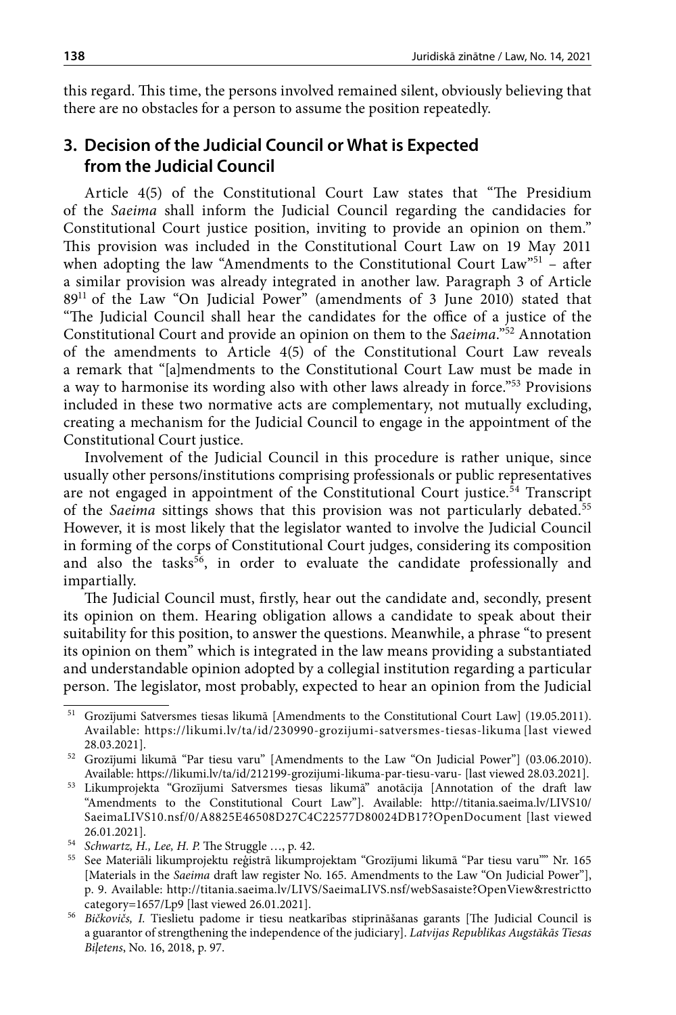this regard. This time, the persons involved remained silent, obviously believing that there are no obstacles for a person to assume the position repeatedly.

## **3. Decision of the Judicial Council or What is Expected from the Judicial Council**

Article 4(5) of the Constitutional Court Law states that "The Presidium of the *Saeima* shall inform the Judicial Council regarding the candidacies for Constitutional Court justice position, inviting to provide an opinion on them." This provision was included in the Constitutional Court Law on 19 May 2011 when adopting the law "Amendments to the [Constitutional Court Law"](https://likumi.lv/ta/id/63354-satversmes-tiesas-likums)51 - after a similar provision was already integrated in another law. Paragraph 3 of Article 8911 of the Law "On Judicial Power" (amendments of 3 June 2010) stated that "The Judicial Council shall hear the candidates for the office of a justice of the Constitutional Court and provide an opinion on them to the *Saeima*."52 Annotation of the amendments to Article 4(5) of the Constitutional Court Law reveals a remark that "[a]mendments to the Constitutional Court Law must be made in a way to harmonise its wording also with other laws already in force."<sup>53</sup> Provisions included in these two normative acts are complementary, not mutually excluding, creating a mechanism for the Judicial Council to engage in the appointment of the Constitutional Court justice.

Involvement of the Judicial Council in this procedure is rather unique, since usually other persons/institutions comprising professionals or public representatives are not engaged in appointment of the Constitutional Court justice. $54$  Transcript of the *Saeima* sittings shows that this provision was not particularly debated.<sup>55</sup> However, it is most likely that the legislator wanted to involve the Judicial Council in forming of the corps of Constitutional Court judges, considering its composition and also the tasks<sup>56</sup>, in order to evaluate the candidate professionally and impartially.

The Judicial Council must, firstly, hear out the candidate and, secondly, present its opinion on them. Hearing obligation allows a candidate to speak about their suitability for this position, to answer the questions. Meanwhile, a phrase "to present its opinion on them" which is integrated in the law means providing a substantiated and understandable opinion adopted by a collegial institution regarding a particular person. The legislator, most probably, expected to hear an opinion from the Judicial

<sup>&</sup>lt;sup>51</sup> Grozījumi Satversmes tiesas likumā [Amendments to the Constitutional Court Law] (19.05.2011). Available: https://likumi.lv/ta/id/230990-grozijumi-satversmes-tiesas-likuma [last viewed 28.03.2021].

<sup>52</sup> Grozījumi likumā "Par tiesu varu" [Amendments to the Law "On Judicial Power"] (03.06.2010). Available: https://likumi.lv/ta/id/212199-grozijumi-likuma-par-tiesu-varu- [last viewed 28.03.2021].

<sup>53</sup> Likumprojekta "Grozījumi Satversmes tiesas likumā" anotācija [Annotation of the draft law "Amendments to the Constitutional Court Law"]. Available: [http://titania.saeima.lv/LIVS10/](http://titania.saeima.lv/LIVS10/SaeimaLIVS10.nsf/0/A8825E46508D27C4C22577D80024DB17?OpenDocument) [SaeimaLIVS10.nsf/0/A8825E46508D27C4C22577D80024DB17?OpenDocument](http://titania.saeima.lv/LIVS10/SaeimaLIVS10.nsf/0/A8825E46508D27C4C22577D80024DB17?OpenDocument) [last viewed 26.01.2021].

<sup>54</sup> *Schwartz, H., Lee, H. P.* The Struggle …, p. 42.

<sup>55</sup> See Materiāli likumprojektu reģistrā likumprojektam "Grozījumi likumā "Par tiesu varu"" Nr. 165 [Materials in the *Saeima* draft law register No. 165. Amendments to the Law "On Judicial Power"], p. 9. Available: [http://titania.saeima.lv/LIVS/SaeimaLIVS.nsf/webSasaiste?OpenView&restrictto](http://titania.saeima.lv/LIVS/SaeimaLIVS.nsf/webSasaiste?OpenView&restricttocategory=1657/Lp9) [category=1657/Lp9](http://titania.saeima.lv/LIVS/SaeimaLIVS.nsf/webSasaiste?OpenView&restricttocategory=1657/Lp9) [last viewed 26.01.2021].

<sup>56</sup> *Bičkovičs, I.* Tieslietu padome ir tiesu neatkarības stiprināšanas garants [The Judicial Council is a guarantor of strengthening the independence of the judiciary]. *Latvijas Republikas Augstākās Tiesas Biļetens*, No. 16, 2018, p. 97.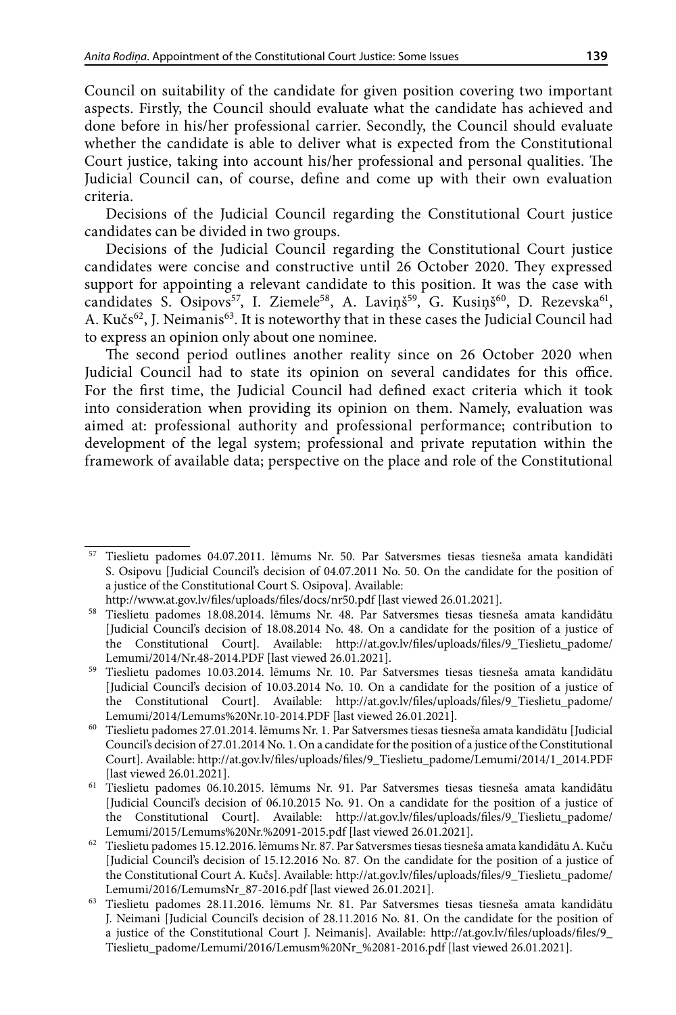Council on suitability of the candidate for given position covering two important aspects. Firstly, the Council should evaluate what the candidate has achieved and done before in his/her professional carrier. Secondly, the Council should evaluate whether the candidate is able to deliver what is expected from the Constitutional Court justice, taking into account his/her professional and personal qualities. The Judicial Council can, of course, define and come up with their own evaluation criteria.

Decisions of the Judicial Council regarding the Constitutional Court justice candidates can be divided in two groups.

Decisions of the Judicial Council regarding the Constitutional Court justice candidates were concise and constructive until 26 October 2020. They expressed support for appointing a relevant candidate to this position. It was the case with candidates S. Osipovs<sup>57</sup>, I. Ziemele<sup>58</sup>, A. Laviņš<sup>59</sup>, G. Kusiņš<sup>60</sup>, D. Rezevska<sup>61</sup>, A. Kučs<sup>62</sup>, J. Neimanis<sup>63</sup>. It is noteworthy that in these cases the Judicial Council had to express an opinion only about one nominee.

The second period outlines another reality since on 26 October 2020 when Judicial Council had to state its opinion on several candidates for this office. For the first time, the Judicial Council had defined exact criteria which it took into consideration when providing its opinion on them. Namely, evaluation was aimed at: professional authority and professional performance; contribution to development of the legal system; professional and private reputation within the framework of available data; perspective on the place and role of the Constitutional

<sup>57</sup> Tieslietu padomes 04.07.2011. lēmums Nr. 50. Par Satversmes tiesas tiesneša amata kandidāti S. Osipovu [Judicial Council's decision of 04.07.2011 No. 50. On the candidate for the position of a justice of the Constitutional Court S. Osipova]. Available:

<http://www.at.gov.lv/files/uploads/files/docs/nr50.pdf> [last viewed 26.01.2021].

<sup>58</sup> Tieslietu padomes 18.08.2014. lēmums Nr. 48. Par Satversmes tiesas tiesneša amata kandidātu [Judicial Council's decision of 18.08.2014 No. 48. On a candidate for the position of a justice of the Constitutional Court]. Available: [http://at.gov.lv/files/uploads/files/9\\_Tieslietu\\_padome/](http://at.gov.lv/files/uploads/files/9_Tieslietu_padome/Lemumi/2014/Nr.48-2014.PDF) [Lemumi/2014/Nr.48-2014.PDF](http://at.gov.lv/files/uploads/files/9_Tieslietu_padome/Lemumi/2014/Nr.48-2014.PDF) [last viewed 26.01.2021].

<sup>59</sup> Tieslietu padomes 10.03.2014. lēmums Nr. 10. Par Satversmes tiesas tiesneša amata kandidātu [Judicial Council's decision of 10.03.2014 No. 10. On a candidate for the position of a justice of the Constitutional Court]. Available: [http://at.gov.lv/files/uploads/files/9\\_Tieslietu\\_padome/](http://at.gov.lv/files/uploads/files/9_Tieslietu_padome/Lemumi/2014/Lemums Nr.10-2014.PDF) [Lemumi/2014/Lemums%20Nr.10-2014.PDF](http://at.gov.lv/files/uploads/files/9_Tieslietu_padome/Lemumi/2014/Lemums Nr.10-2014.PDF) [last viewed 26.01.2021].

 $^{60}\;$  Tieslietu padomes 27.01.2014. lēmums Nr. 1. Par Satversmes tiesas tiesneša amata kandidātu [Judicial Council's decision of 27.01.2014 No. 1. On a candidate for the position of a justice of the Constitutional Court]. Available: [http://at.gov.lv/files/uploads/files/9\\_Tieslietu\\_padome/Lemumi/2014/1\\_2014.PDF](http://at.gov.lv/files/uploads/files/9_Tieslietu_padome/Lemumi/2014/1_2014.PDF) [last viewed 26.01.2021].

<sup>61</sup> Tieslietu padomes 06.10.2015. lēmums Nr. 91. Par Satversmes tiesas tiesneša amata kandidātu [Judicial Council's decision of 06.10.2015 No. 91. On a candidate for the position of a justice of the Constitutional Court]. Available: [http://at.gov.lv/files/uploads/files/9\\_Tieslietu\\_padome/](http://at.gov.lv/files/uploads/files/9_Tieslietu_padome/Lemumi/2015/Lemums Nr. 91-2015.pdf) [Lemumi/2015/Lemums%20Nr.%2091-2015.pdf](http://at.gov.lv/files/uploads/files/9_Tieslietu_padome/Lemumi/2015/Lemums Nr. 91-2015.pdf) [last viewed 26.01.2021].

 $62$  Tieslietu padomes 15.12.2016. lēmums Nr. 87. Par Satversmes tiesas tiesneša amata kandidātu A. Kuču [Judicial Council's decision of 15.12.2016 No. 87. On the candidate for the position of a justice of the Constitutional Court A. Kučs]. Available: [http://at.gov.lv/files/uploads/files/9\\_Tieslietu\\_padome/](http://at.gov.lv/files/uploads/files/9_Tieslietu_padome/Lemumi/2016/LemumsNr_87-2016.pdf) [Lemumi/2016/LemumsNr\\_87-2016.pdf](http://at.gov.lv/files/uploads/files/9_Tieslietu_padome/Lemumi/2016/LemumsNr_87-2016.pdf) [last viewed 26.01.2021].

<sup>63</sup> Tieslietu padomes 28.11.2016. lēmums Nr. 81. Par Satversmes tiesas tiesneša amata kandidātu J. Neimani [Judicial Council's decision of 28.11.2016 No. 81. On the candidate for the position of a justice of the Constitutional Court J. Neimanis]. Available: [http://at.gov.lv/files/uploads/files/9\\_](http://at.gov.lv/files/uploads/files/9_Tieslietu_padome/Lemumi/2016/Lemusm Nr_ 81-2016.pdf) [Tieslietu\\_padome/Lemumi/2016/Lemusm%20Nr\\_%2081-2016.pdf](http://at.gov.lv/files/uploads/files/9_Tieslietu_padome/Lemumi/2016/Lemusm Nr_ 81-2016.pdf) [last viewed 26.01.2021].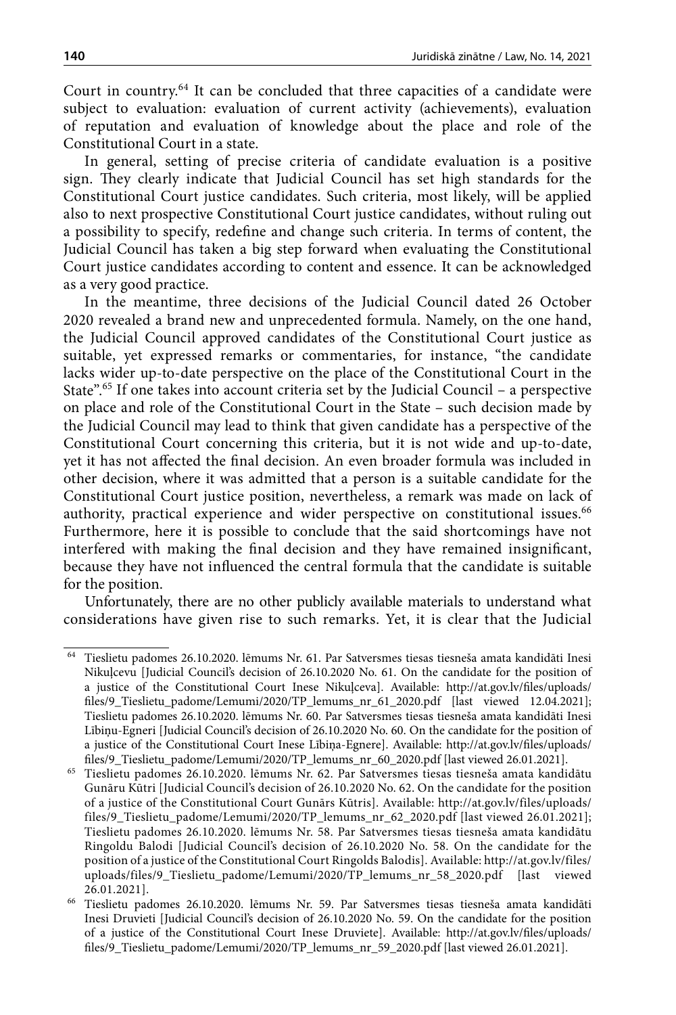Court in country.64 It can be concluded that three capacities of a candidate were subject to evaluation: evaluation of current activity (achievements), evaluation of reputation and evaluation of knowledge about the place and role of the Constitutional Court in a state.

In general, setting of precise criteria of candidate evaluation is a positive sign. They clearly indicate that Judicial Council has set high standards for the Constitutional Court justice candidates. Such criteria, most likely, will be applied also to next prospective Constitutional Court justice candidates, without ruling out a possibility to specify, redefine and change such criteria. In terms of content, the Judicial Council has taken a big step forward when evaluating the Constitutional Court justice candidates according to content and essence. It can be acknowledged as a very good practice.

In the meantime, three decisions of the Judicial Council dated 26 October 2020 revealed a brand new and unprecedented formula. Namely, on the one hand, the Judicial Council approved candidates of the Constitutional Court justice as suitable, yet expressed remarks or commentaries, for instance, "the candidate lacks wider up-to-date perspective on the place of the Constitutional Court in the State".65 If one takes into account criteria set by the Judicial Council – a perspective on place and role of the Constitutional Court in the State – such decision made by the Judicial Council may lead to think that given candidate has a perspective of the Constitutional Court concerning this criteria, but it is not wide and up-to-date, yet it has not affected the final decision. An even broader formula was included in other decision, where it was admitted that a person is a suitable candidate for the Constitutional Court justice position, nevertheless, a remark was made on lack of authority, practical experience and wider perspective on constitutional issues.<sup>66</sup> Furthermore, here it is possible to conclude that the said shortcomings have not interfered with making the final decision and they have remained insignificant, because they have not influenced the central formula that the candidate is suitable for the position.

Unfortunately, there are no other publicly available materials to understand what considerations have given rise to such remarks. Yet, it is clear that the Judicial

<sup>64</sup> Tieslietu padomes 26.10.2020. lēmums Nr. 61. Par Satversmes tiesas tiesneša amata kandidāti Inesi Nikuļcevu [Judicial Council's decision of 26.10.2020 No. 61. On the candidate for the position of a justice of the Constitutional Court Inese Nikuļceva]. Available: [http://at.gov.lv/files/uploads/](http://at.gov.lv/files/uploads/files/9_Tieslietu_padome/Lemumi/2020/TP_lemums_nr_61_2020.pdf) [files/9\\_Tieslietu\\_padome/Lemumi/2020/TP\\_lemums\\_nr\\_61\\_2020.pdf](http://at.gov.lv/files/uploads/files/9_Tieslietu_padome/Lemumi/2020/TP_lemums_nr_61_2020.pdf) [last viewed 12.04.2021]; Tieslietu padomes 26.10.2020. lēmums Nr. 60. Par Satversmes tiesas tiesneša amata kandidāti Inesi Lībiņu-Egneri [Judicial Council's decision of 26.10.2020 No. 60. On the candidate for the position of a justice of the Constitutional Court Inese Lībiņa-Egnere]. Available: [http://at.gov.lv/files/uploads/](http://at.gov.lv/files/uploads/files/9_Tieslietu_padome/Lemumi/2020/TP_lemums_nr_60_2020.pdf) [files/9\\_Tieslietu\\_padome/Lemumi/2020/TP\\_lemums\\_nr\\_60\\_2020.pdf](http://at.gov.lv/files/uploads/files/9_Tieslietu_padome/Lemumi/2020/TP_lemums_nr_60_2020.pdf) [last viewed 26.01.2021].

<sup>65</sup> Tieslietu padomes 26.10.2020. lēmums Nr. 62. Par Satversmes tiesas tiesneša amata kandidātu Gunāru Kūtri [Judicial Council's decision of 26.10.2020 No. 62. On the candidate for the position of a justice of the Constitutional Court Gunārs Kūtris]. Available: [http://at.gov.lv/files/uploads/](http://at.gov.lv/files/uploads/files/9_Tieslietu_padome/Lemumi/2020/TP_lemums_nr_62_2020.pdf) [files/9\\_Tieslietu\\_padome/Lemumi/2020/TP\\_lemums\\_nr\\_62\\_2020.pdf](http://at.gov.lv/files/uploads/files/9_Tieslietu_padome/Lemumi/2020/TP_lemums_nr_62_2020.pdf) [last viewed 26.01.2021]; Tieslietu padomes 26.10.2020. lēmums Nr. 58. Par Satversmes tiesas tiesneša amata kandidātu Ringoldu Balodi [Judicial Council's decision of 26.10.2020 No. 58. On the candidate for the position of a justice of the Constitutional Court Ringolds Balodis]. Available: [http://at.gov.lv/files/](http://at.gov.lv/files/uploads/files/9_Tieslietu_padome/Lemumi/2020/TP_lemums_nr_58_2020.pdf) [uploads/files/9\\_Tieslietu\\_padome/Lemumi/2020/TP\\_lemums\\_nr\\_58\\_2020.pdf](http://at.gov.lv/files/uploads/files/9_Tieslietu_padome/Lemumi/2020/TP_lemums_nr_58_2020.pdf) [last viewed 26.01.2021].

<sup>66</sup> Tieslietu padomes 26.10.2020. lēmums Nr. 59. Par Satversmes tiesas tiesneša amata kandidāti Inesi Druvieti [Judicial Council's decision of 26.10.2020 No. 59. On the candidate for the position of a justice of the Constitutional Court Inese Druviete]. Available: [http://at.gov.lv/files/uploads/](http://at.gov.lv/files/uploads/files/9_Tieslietu_padome/Lemumi/2020/TP_lemums_nr_59_2020.pdf) [files/9\\_Tieslietu\\_padome/Lemumi/2020/TP\\_lemums\\_nr\\_59\\_2020.pdf](http://at.gov.lv/files/uploads/files/9_Tieslietu_padome/Lemumi/2020/TP_lemums_nr_59_2020.pdf) [last viewed 26.01.2021].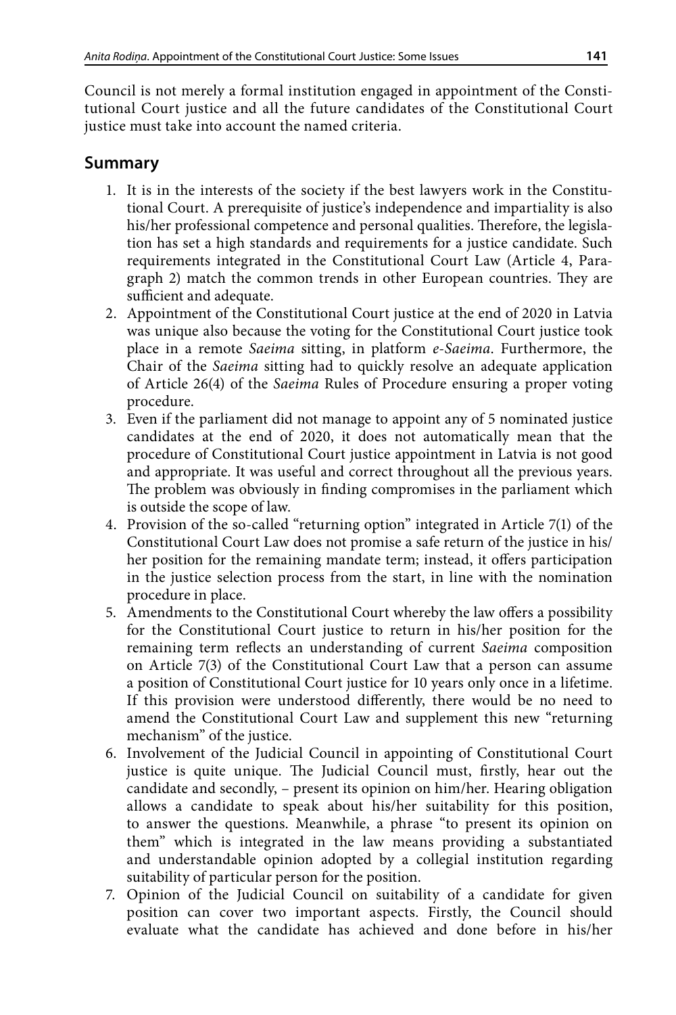Council is not merely a formal institution engaged in appointment of the Constitutional Court justice and all the future candidates of the Constitutional Court justice must take into account the named criteria.

## **Summary**

- 1. It is in the interests of the society if the best lawyers work in the Constitutional Court. A prerequisite of justice's independence and impartiality is also his/her professional competence and personal qualities. Therefore, the legislation has set a high standards and requirements for a justice candidate. Such requirements integrated in the Constitutional Court Law (Article 4, Paragraph 2) match the common trends in other European countries. They are sufficient and adequate.
- 2. Appointment of the Constitutional Court justice at the end of 2020 in Latvia was unique also because the voting for the Constitutional Court justice took place in a remote *Saeima* sitting, in platform *e-Saeima*. Furthermore, the Chair of the *Saeima* sitting had to quickly resolve an adequate application of Article 26(4) of the *Saeima* Rules of Procedure ensuring a proper voting procedure.
- 3. Even if the parliament did not manage to appoint any of 5 nominated justice candidates at the end of 2020, it does not automatically mean that the procedure of Constitutional Court justice appointment in Latvia is not good and appropriate. It was useful and correct throughout all the previous years. The problem was obviously in finding compromises in the parliament which is outside the scope of law.
- 4. Provision of the so-called "returning option" integrated in Article 7(1) of the Constitutional Court Law does not promise a safe return of the justice in his/ her position for the remaining mandate term; instead, it offers participation in the justice selection process from the start, in line with the nomination procedure in place.
- 5. Amendments to the Constitutional Court whereby the law offers a possibility for the Constitutional Court justice to return in his/her position for the remaining term reflects an understanding of current *Saeima* composition on Article 7(3) of the Constitutional Court Law that a person can assume a position of Constitutional Court justice for 10 years only once in a lifetime. If this provision were understood differently, there would be no need to amend the Constitutional Court Law and supplement this new "returning mechanism" of the justice.
- 6. Involvement of the Judicial Council in appointing of Constitutional Court justice is quite unique. The Judicial Council must, firstly, hear out the candidate and secondly, – present its opinion on him/her. Hearing obligation allows a candidate to speak about his/her suitability for this position, to answer the questions. Meanwhile, a phrase "to present its opinion on them" which is integrated in the law means providing a substantiated and understandable opinion adopted by a collegial institution regarding suitability of particular person for the position.
- 7. Opinion of the Judicial Council on suitability of a candidate for given position can cover two important aspects. Firstly, the Council should evaluate what the candidate has achieved and done before in his/her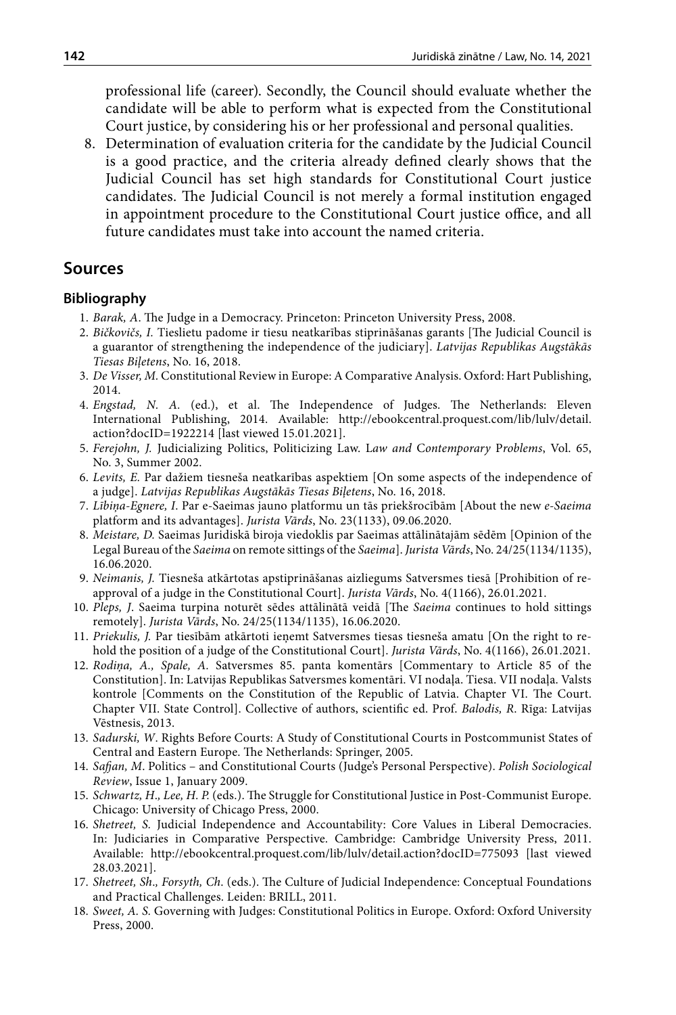professional life (career). Secondly, the Council should evaluate whether the candidate will be able to perform what is expected from the Constitutional Court justice, by considering his or her professional and personal qualities.

8. Determination of evaluation criteria for the candidate by the Judicial Council is a good practice, and the criteria already defined clearly shows that the Judicial Council has set high standards for Constitutional Court justice candidates. The Judicial Council is not merely a formal institution engaged in appointment procedure to the Constitutional Court justice office, and all future candidates must take into account the named criteria.

## **Sources**

#### **Bibliography**

- 1. *Barak, A*. The Judge in a Democracy. Princeton: Princeton University Press, 2008.
- 2. *Bičkovičs, I.* Tieslietu padome ir tiesu neatkarības stiprināšanas garants [The Judicial Council is a guarantor of strengthening the independence of the judiciary]. *Latvijas Republikas Augstākās Tiesas Biļetens*, No. 16, 2018.
- 3. *De Visser, M.* Constitutional Review in Europe: A Comparative Analysis. Oxford: Hart Publishing, 2014.
- 4. *Engstad, N. A.* (ed.), et al. The Independence of Judges. The Netherlands: Eleven International Publishing, 2014. Available: [http://ebookcentral.proquest.com/lib/lulv/detail.](http://ebookcentral.proquest.com/lib/lulv/detail.action?docID=1922214) [action?docID=1922214](http://ebookcentral.proquest.com/lib/lulv/detail.action?docID=1922214) [last viewed 15.01.2021].
- 5. *[Ferejohn](https://scholarship.law.duke.edu/do/search/?q=author_lname:%22Ferejohn%22 author_fname:%22John%22&start=0&context=1022222), J.* Judicializing Politics, Politicizing Law. L*aw and* C*ontemporary* P*roblems*, Vol. 65, No. 3, Summer 2002.
- 6. *Levits, E.* Par dažiem tiesneša neatkarības aspektiem [On some aspects of the independence of a judge]. *Latvijas Republikas Augstākās Tiesas Biļetens*, No. 16, 2018.
- 7. *Lībiņa-Egnere, I*. Par e-Saeimas jauno platformu un tās priekšrocībām [About the new *e-Saeima* platform and its advantages]. *Jurista Vārds*, No. 23(1133), 09.06.2020.
- 8. *Meistare, D.* Saeimas Juridiskā biroja viedoklis par Saeimas attālinātajām sēdēm [Opinion of the Legal Bureau of the *Saeima* on remote sittings of the *Saeima*]. *Jurista Vārds*, No. 24/25(1134/1135), 16.06.2020.
- 9. *Neimanis, J.* Tiesneša atkārtotas apstiprināšanas aizliegums Satversmes tiesā [Prohibition of reapproval of a judge in the Constitutional Court]. *Jurista Vārds*, No. 4(1166), 26.01.2021.
- 10. *Pleps, J*. Saeima turpina noturēt sēdes attālinātā veidā [The *Saeima* continues to hold sittings remotely]. *Jurista Vārds*, No. 24/25(1134/1135), 16.06.2020.
- 11. *Priekulis, J.* Par tiesībām atkārtoti ieņemt Satversmes tiesas tiesneša amatu [On the right to rehold the position of a judge of the Constitutional Court]. *Jurista Vārds*, No. 4(1166), 26.01.2021.
- 12. *Rodiņa, A., Spale, A.* Satversmes 85. panta komentārs [Commentary to Article 85 of the Constitution]. In: Latvijas Republikas Satversmes komentāri. VI nodaļa. Tiesa. VII nodaļa. Valsts kontrole [Comments on the Constitution of the Republic of Latvia. Chapter VI. The Court. Chapter VII. State Control]. Collective of authors, scientific ed. Prof. *Balodis, R*. Rīga: Latvijas Vēstnesis, 2013.
- 13. *Sadurski, W*. Rights Before Courts: A Study of Constitutional Courts in Postcommunist States of Central and Eastern Europe. The Netherlands: Springer, 2005.
- 14. *Safjan, M*. [Politics and Constitutional Courts \(Judge's Personal Perspective\)](https://primolatvija.hosted.exlibrisgroup.com/primo-explore/fulldisplay?docid=TN_jstor_archive_1041275087&context=PC&vid=371KISCLU_VU1&lang=lv_LV&search_scope=default_scope&adaptor=primo_central_multiple_fe&tab=default_tab&query=any,contains,Safjan Marek&offset=0). *Polish Sociological Review*, Issue 1, January 2009.
- 15. *Schwartz, H*.*, Lee, H. P.* (eds.). The Struggle for Constitutional Justice in Post-Communist Europe. Chicago: University of Chicago Press, 2000.
- 16. *Shetreet, S.* Judicial Independence and Accountability: Core Values in Liberal Democracies. In: Judiciaries in Comparative Perspective. Cambridge: Cambridge University Press, 2011. Available: <http://ebookcentral.proquest.com/lib/lulv/detail.action?docID=775093> [last viewed 28.03.2021].
- 17. *Shetreet, Sh*.*, Forsyth, Ch*. (eds.). The Culture of Judicial Independence: Conceptual Foundations and Practical Challenges. Leiden: BRILL, 2011.
- 18. *Sweet, A. S.* Governing with Judges: Constitutional Politics in Europe. Oxford: Oxford University Press, 2000.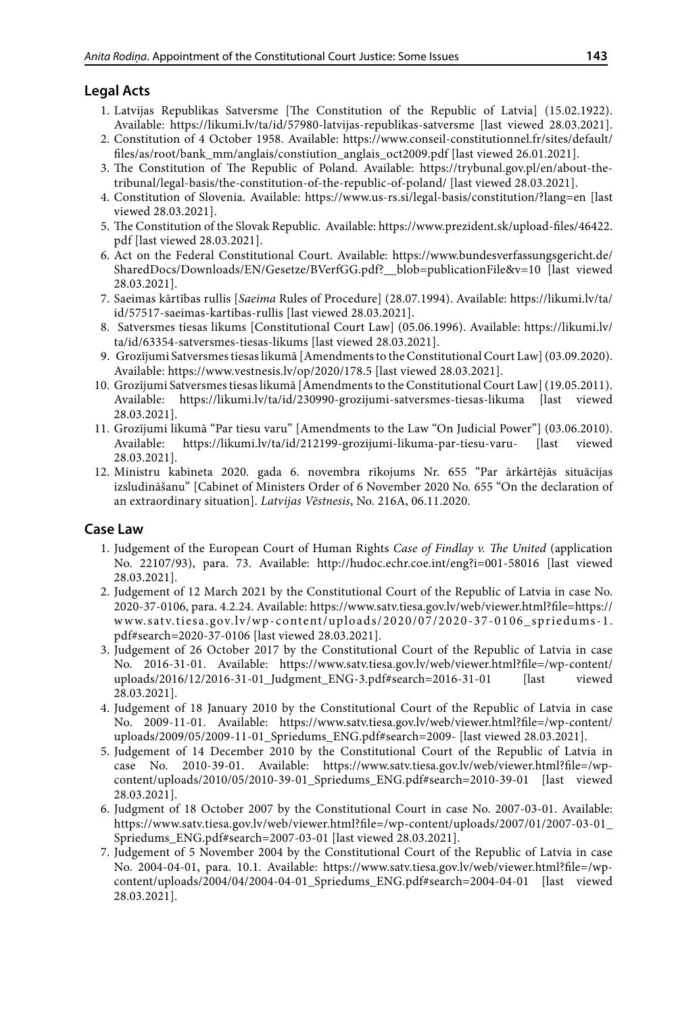## **Legal Acts**

- 1. Latvijas Republikas Satversme [The Constitution of the Republic of Latvia] (15.02.1922). Available: https://likumi.lv/ta/id/57980-latvijas-republikas-satversme [last viewed 28.03.2021].
- 2. Constitution of 4 October 1958. Available: [https://www.conseil-constitutionnel.fr/sites/default/](https://www.conseil-constitutionnel.fr/sites/default/files/as/root/bank_mm/anglais/constiution_anglais_oct2009.pdf) [files/as/root/bank\\_mm/anglais/constiution\\_anglais\\_oct2009.pdf](https://www.conseil-constitutionnel.fr/sites/default/files/as/root/bank_mm/anglais/constiution_anglais_oct2009.pdf) [last viewed 26.01.2021].
- 3. The Constitution of The Republic of Poland. Available: [https://trybunal.gov.pl/en/about-the](https://trybunal.gov.pl/en/about-the-tribunal/legal-basis/the-constitution-of-the-republic-of-poland/)[tribunal/legal-basis/the-constitution-of-the-republic-of-poland/](https://trybunal.gov.pl/en/about-the-tribunal/legal-basis/the-constitution-of-the-republic-of-poland/) [last viewed 28.03.2021].
- 4. Constitution of Slovenia. Available: <https://www.us-rs.si/legal-basis/constitution/?lang=en> [last viewed 28.03.2021].
- 5. [The Constitution of the Slovak Republic.](https://www.concourt.am/armenian/legal_resources/world_constitutions/constit/slovakia/slovak-e.htm) Available: [https://www.prezident.sk/upload-files/46422.](https://www.prezident.sk/upload-files/46422.pdf) [pdf](https://www.prezident.sk/upload-files/46422.pdf) [last viewed 28.03.2021].
- 6. Act on the Federal Constitutional Court. Available: https://www.bundesverfassungsgericht.de/ SharedDocs/Downloads/EN/Gesetze/BVerfGG.pdf?\_\_blob=publicationFile&v=10 [last viewed 28.03.2021].
- 7. Saeimas kārtības rullis [*Saeima* Rules of Procedure] (28.07.1994). Available: [https://likumi.lv/ta/](https://likumi.lv/ta/id/57517-saeimas-kartibas-rullis) [id/57517-saeimas-kartibas-rullis](https://likumi.lv/ta/id/57517-saeimas-kartibas-rullis) [last viewed 28.03.2021].
- 8. Satversmes tiesas likums [Constitutional Court Law] (05.06.1996). Available: https://likumi.lv/ ta/id/63354-satversmes-tiesas-likums [last viewed 28.03.2021].
- 9. Grozījumi [Satversmes tiesas likumā](https://likumi.lv/ta/id/63354-satversmes-tiesas-likums) [Amendments to the Constitutional Court Law] (03.09.2020). Available: <https://www.vestnesis.lv/op/2020/178.5>[last viewed 28.03.2021].
- 10. Grozījumi Satversmes tiesas likumā [Amendments to the Constitutional Court Law] (19.05.2011). Available: https://likumi.lv/ta/id/230990-grozijumi-satversmes-tiesas-likuma [last viewed 28.03.2021].
- 11. Grozījumi likumā "Par tiesu varu" [Amendments to the Law "On Judicial Power"] (03.06.2010). Available: https://likumi.lv/ta/id/212199-grozijumi-likuma-par-tiesu-varu- [last viewed 28.03.2021].
- 12. Ministru kabineta 2020. gada 6. novembra rīkojums Nr. 655 "Par ārkārtējās situācijas izsludināšanu" [Cabinet of Ministers Order of 6 November 2020 No. 655 "On the declaration of an extraordinary situation]. *[Latvijas Vēstnesis](https://www.vestnesis.lv/ta/id/318517-par-arkartejas-situacijas-izsludinasanu)*, No. 216A, 06.11.2020.

### **Case Law**

- 1. Judgement of the European Court of Human Rights *Case of Findlay v. The United* (application No. 22107/93), para. 73. Available: http://hudoc.echr.coe.int/eng?i=001-58016 [last viewed 28.03.2021].
- 2. Judgement of 12 March 2021 by the Constitutional Court of the Republic of Latvia in case No. 2020-37-0106, para. 4.2.24. Available: [https://www.satv.tiesa.gov.lv/web/viewer.html?file=https://](https://www.satv.tiesa.gov.lv/web/viewer.html?file=https://www.satv.tiesa.gov.lv/wp-content/uploads/2020/07/2020-37-0106_spriedums-1.pdf%23search=2020-37-0106) [www.satv.tiesa.gov.lv/wp-content/uploads/2020/07/2020-37-0106\\_spriedums-1.](https://www.satv.tiesa.gov.lv/web/viewer.html?file=https://www.satv.tiesa.gov.lv/wp-content/uploads/2020/07/2020-37-0106_spriedums-1.pdf%23search=2020-37-0106) [pdf#search=2020-37-0106](https://www.satv.tiesa.gov.lv/web/viewer.html?file=https://www.satv.tiesa.gov.lv/wp-content/uploads/2020/07/2020-37-0106_spriedums-1.pdf%23search=2020-37-0106) [last viewed 28.03.2021].
- 3. Judgement of 26 October 2017 by the Constitutional Court of the Republic of Latvia in case No. 2016-31-01. Available: [https://www.satv.tiesa.gov.lv/web/viewer.html?file=/wp-content/](https://www.satv.tiesa.gov.lv/web/viewer.html?file=/wp-content/uploads/2016/12/2016-31-01_Judgment_ENG-3.pdf#search=2016-31-01) [uploads/2016/12/2016-31-01\\_Judgment\\_ENG-3.pdf#search=2016-31-01](https://www.satv.tiesa.gov.lv/web/viewer.html?file=/wp-content/uploads/2016/12/2016-31-01_Judgment_ENG-3.pdf#search=2016-31-01) [last viewed 28.03.2021].
- 4. Judgement of 18 January 2010 by the Constitutional Court of the Republic of Latvia in case No. 2009-11-01. Available: [https://www.satv.tiesa.gov.lv/web/viewer.html?file=/wp-content/](https://www.satv.tiesa.gov.lv/web/viewer.html?file=/wp-content/uploads/2009/05/2009-11-01_Spriedums_ENG.pdf#search=2009-) [uploads/2009/05/2009-11-01\\_Spriedums\\_ENG.pdf#search=2009-](https://www.satv.tiesa.gov.lv/web/viewer.html?file=/wp-content/uploads/2009/05/2009-11-01_Spriedums_ENG.pdf#search=2009-) [last viewed 28.03.2021].
- 5. Judgement of 14 December 2010 by the Constitutional Court of the Republic of Latvia in case No. 2010-39-01. Available: [https://www.satv.tiesa.gov.lv/web/viewer.html?file=/wp](https://www.satv.tiesa.gov.lv/web/viewer.html?file=/wp-content/uploads/2010/05/2010-39-01_Spriedums_ENG.pdf#search=2010-39-01)[content/uploads/2010/05/2010-39-01\\_Spriedums\\_ENG.pdf#search=2010-39-01](https://www.satv.tiesa.gov.lv/web/viewer.html?file=/wp-content/uploads/2010/05/2010-39-01_Spriedums_ENG.pdf#search=2010-39-01) [last viewed 28.03.2021].
- 6. Judgment of 18 October 2007 by the Constitutional Court in case No. 2007-03-01. Available: [https://www.satv.tiesa.gov.lv/web/viewer.html?file=/wp-content/uploads/2007/01/2007-03-01\\_](https://www.satv.tiesa.gov.lv/web/viewer.html?file=/wp-content/uploads/2007/01/2007-03-01_Spriedums_ENG.pdf%23search=2007-03-01) [Spriedums\\_ENG.pdf#search=2007-03-01](https://www.satv.tiesa.gov.lv/web/viewer.html?file=/wp-content/uploads/2007/01/2007-03-01_Spriedums_ENG.pdf%23search=2007-03-01) [last viewed 28.03.2021].
- 7. Judgement of 5 November 2004 by the Constitutional Court of the Republic of Latvia in case No. 2004-04-01, para. 10.1. Available: https://www.satv.tiesa.gov.lv/web/viewer.html?file=/wpcontent/uploads/2004/04/2004-04-01\_Spriedums\_ENG.pdf#search=2004-04-01 [last viewed 28.03.2021].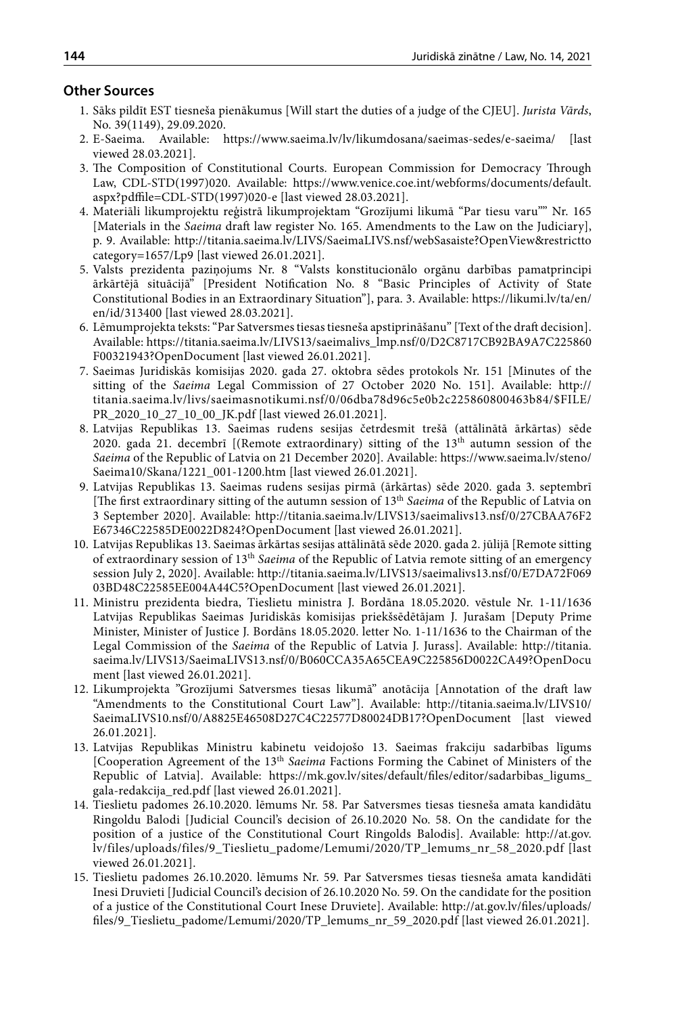#### **Other Sources**

- 1. Sāks pildīt EST tiesneša pienākumus [Will start the duties of a judge of the CJEU]. *Jurista Vārds*, No. 39(1149), 29.09.2020.
- 2. E-Saeima. Available: <https://www.saeima.lv/lv/likumdosana/saeimas-sedes/e-saeima/>[last viewed 28.03.2021].
- 3. The Composition of Constitutional Courts. European Commission for Democracy Through Law, CDL-STD(1997)020. Available: [https://www.venice.coe.int/webforms/documents/default.](https://www.venice.coe.int/webforms/documents/default.aspx?pdffile=CDL-STD(1997)020-e) [aspx?pdffile=CDL-STD\(1997\)020-e](https://www.venice.coe.int/webforms/documents/default.aspx?pdffile=CDL-STD(1997)020-e) [last viewed 28.03.2021].
- 4. Materiāli likumprojektu reģistrā likumprojektam "Grozījumi likumā "Par tiesu varu"" Nr. 165 [Materials in the *Saeima* draft law register No. 165. Amendments to the Law on the Judiciary], p. 9. Available: [http://titania.saeima.lv/LIVS/SaeimaLIVS.nsf/webSasaiste?OpenView&restrictto](http://titania.saeima.lv/LIVS/SaeimaLIVS.nsf/webSasaiste?OpenView&restricttocategory=1657/Lp9) [category=1657/Lp9](http://titania.saeima.lv/LIVS/SaeimaLIVS.nsf/webSasaiste?OpenView&restricttocategory=1657/Lp9) [last viewed 26.01.2021].
- 5. Valsts prezidenta paziņojums Nr. 8 "Valsts konstitucionālo orgānu darbības pamatprincipi ārkārtējā situācijā" [\[President Notification No. 8 "Basic Principles of Activity of State](https://likumi.lv/ta/en/en/id/313400)  [Constitutional Bodies in an Extraordinary Situation"\]](https://likumi.lv/ta/en/en/id/313400), para. 3. Available: [https://likumi.lv/ta/en/](https://likumi.lv/ta/en/en/id/313400) [en/id/313400](https://likumi.lv/ta/en/en/id/313400) [last viewed 28.03.2021].
- 6. Lēmumprojekta teksts: "Par Satversmes tiesas tiesneša apstiprināšanu" [Text of the draft decision]. Available: https://titania.saeima.lv/LIVS13/saeimalivs\_lmp.nsf/0/D2C8717CB92BA9A7C225860 F00321943?OpenDocument [last viewed 26.01.2021].
- 7. Saeimas Juridiskās komisijas 2020. gada 27. oktobra sēdes protokols Nr. 151 [Minutes of the sitting of the *Saeima* Legal Commission of 27 October 2020 No. 151]. Available: [http://](http://titania.saeima.lv/livs/saeimasnotikumi.nsf/0/06dba78d96c5e0b2c225860800463b84/$FILE/PR_2020_10_27_10_00_JK.pdf) [titania.saeima.lv/livs/saeimasnotikumi.nsf/0/06dba78d96c5e0b2c225860800463b84/\\$FILE/](http://titania.saeima.lv/livs/saeimasnotikumi.nsf/0/06dba78d96c5e0b2c225860800463b84/$FILE/PR_2020_10_27_10_00_JK.pdf) [PR\\_2020\\_10\\_27\\_10\\_00\\_JK.pdf](http://titania.saeima.lv/livs/saeimasnotikumi.nsf/0/06dba78d96c5e0b2c225860800463b84/$FILE/PR_2020_10_27_10_00_JK.pdf) [last viewed 26.01.2021].
- 8. Latvijas Republikas 13. Saeimas rudens sesijas četrdesmit trešā (attālinātā ārkārtas) sēde 2020. gada 21. decembrī  $[($ Remote extraordinary) sitting of the  $13<sup>th</sup>$  autumn session of the *Saeima* of the Republic of Latvia on 21 December 2020]. Available: [https://www.saeima.lv/steno/](https://www.saeima.lv/steno/Saeima10/Skana/1221_001-1200.htm) [Saeima10/Skana/1221\\_001-1200.htm](https://www.saeima.lv/steno/Saeima10/Skana/1221_001-1200.htm) [last viewed 26.01.2021].
- 9. Latvijas Republikas 13. Saeimas rudens sesijas pirmā (ārkārtas) sēde 2020. gada 3. septembrī [The first extraordinary sitting of the autumn session of 13th *Saeima* of the Republic of Latvia on 3 September 2020]. Available: [http://titania.saeima.lv/LIVS13/saeimalivs13.nsf/0/27CBAA76F2](http://titania.saeima.lv/LIVS13/saeimalivs13.nsf/0/27CBAA76F2E67346C22585DE0022D824?OpenDocument) [E67346C22585DE0022D824?OpenDocument](http://titania.saeima.lv/LIVS13/saeimalivs13.nsf/0/27CBAA76F2E67346C22585DE0022D824?OpenDocument) [last viewed 26.01.2021].
- 10. Latvijas Republikas 13. Saeimas ārkārtas sesijas attālinātā sēde 2020. gada 2. jūlijā [Remote sitting of extraordinary session of 13th *Saeima* of the Republic of Latvia remote sitting of an emergency session July 2, 2020]. Available: [http://titania.saeima.lv/LIVS13/saeimalivs13.nsf/0/E7DA72F069](http://titania.saeima.lv/LIVS13/saeimalivs13.nsf/0/E7DA72F06903BD48C22585EE004A44C5?OpenDocument) [03BD48C22585EE004A44C5?OpenDocument](http://titania.saeima.lv/LIVS13/saeimalivs13.nsf/0/E7DA72F06903BD48C22585EE004A44C5?OpenDocument) [last viewed 26.01.2021].
- 11. Ministru prezidenta biedra, Tieslietu ministra J. Bordāna 18.05.2020. vēstule Nr. 1-11/1636 Latvijas Republikas Saeimas Juridiskās komisijas priekšsēdētājam J. Jurašam [Deputy Prime Minister, Minister of Justice J. Bordāns 18.05.2020. letter No. 1-11/1636 to the Chairman of the Legal Commission of the *Saeima* of the Republic of Latvia J. Jurass]. Available: [http://titania.](http://titania.saeima.lv/LIVS13/SaeimaLIVS13.nsf/0/B060CCA35A65CEA9C225856D0022CA49?OpenDocument) [saeima.lv/LIVS13/SaeimaLIVS13.nsf/0/B060CCA35A65CEA9C225856D0022CA49?OpenDocu](http://titania.saeima.lv/LIVS13/SaeimaLIVS13.nsf/0/B060CCA35A65CEA9C225856D0022CA49?OpenDocument) [ment](http://titania.saeima.lv/LIVS13/SaeimaLIVS13.nsf/0/B060CCA35A65CEA9C225856D0022CA49?OpenDocument) [last viewed 26.01.2021].
- 12. Likumprojekta "Grozījumi Satversmes tiesas likumā" anotācija [Annotation of the draft law "Amendments to the Constitutional Court Law"]. Available: [http://titania.saeima.lv/LIVS10/](http://titania.saeima.lv/LIVS10/SaeimaLIVS10.nsf/0/A8825E46508D27C4C22577D80024DB17?OpenDocument) [SaeimaLIVS10.nsf/0/A8825E46508D27C4C22577D80024DB17?OpenDocument](http://titania.saeima.lv/LIVS10/SaeimaLIVS10.nsf/0/A8825E46508D27C4C22577D80024DB17?OpenDocument) [last viewed 26.01.2021].
- 13. Latvijas Republikas Ministru kabinetu veidojošo 13. Saeimas frakciju sadarbības līgums [Cooperation Agreement of the 13th *Saeima* Factions Forming the Cabinet of Ministers of the Republic of Latvia]. Available: https://mk.gov.lv/sites/default/files/editor/sadarbibas\_ligums\_ gala-redakcija\_red.pdf [last viewed 26.01.2021].
- 14. Tieslietu padomes 26.10.2020. lēmums Nr. 58. [Par Satversmes tiesas tiesneša amata kandidātu](http://at.gov.lv/files/uploads/files/9_Tieslietu_padome/Lemumi/2020/TP_lemums_nr_58_2020.pdf)  [Ringoldu Balodi](http://at.gov.lv/files/uploads/files/9_Tieslietu_padome/Lemumi/2020/TP_lemums_nr_58_2020.pdf) [Judicial Council's decision of 26.10.2020 No. 58. On the candidate for the position of a justice of the Constitutional Court Ringolds Balodis]. Available: [http://at.gov.](http://at.gov.lv/files/uploads/files/9_Tieslietu_padome/Lemumi/2020/TP_lemums_nr_58_2020.pdf) [lv/files/uploads/files/9\\_Tieslietu\\_padome/Lemumi/2020/TP\\_lemums\\_nr\\_58\\_2020.pdf](http://at.gov.lv/files/uploads/files/9_Tieslietu_padome/Lemumi/2020/TP_lemums_nr_58_2020.pdf) [last viewed 26.01.2021].
- 15. Tieslietu padomes 26.10.2020. lēmums Nr. 59.  [Par Satversmes tiesas tiesneša amata kandidāti](http://at.gov.lv/files/uploads/files/9_Tieslietu_padome/Lemumi/2020/TP_lemums_nr_58_2020.pdf)  Inesi Druvieti [Judicial Council's decision of 26.10.2020 No. 59. On the candidate for the position of a justice of the Constitutional Court Inese Druviete]. Available: [http://at.gov.lv/files/uploads/](http://at.gov.lv/files/uploads/files/9_Tieslietu_padome/Lemumi/2020/TP_lemums_nr_59_2020.pdf) [files/9\\_Tieslietu\\_padome/Lemumi/2020/TP\\_lemums\\_nr\\_59\\_2020.pdf](http://at.gov.lv/files/uploads/files/9_Tieslietu_padome/Lemumi/2020/TP_lemums_nr_59_2020.pdf) [last viewed 26.01.2021].